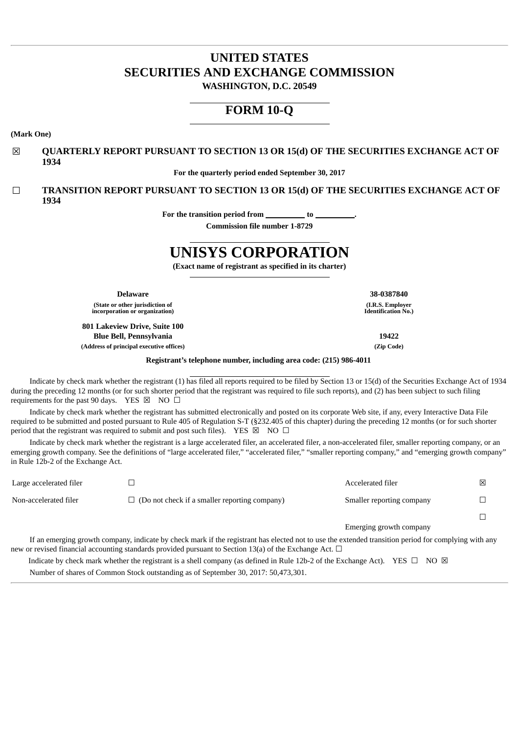# **UNITED STATES SECURITIES AND EXCHANGE COMMISSION**

**WASHINGTON, D.C. 20549**

# **FORM 10-Q**

**(Mark One)**

☒ **QUARTERLY REPORT PURSUANT TO SECTION 13 OR 15(d) OF THE SECURITIES EXCHANGE ACT OF 1934**

**For the quarterly period ended September 30, 2017**

☐ **TRANSITION REPORT PURSUANT TO SECTION 13 OR 15(d) OF THE SECURITIES EXCHANGE ACT OF 1934**

**For the transition period from to .**

**Commission file number 1-8729**

# **UNISYS CORPORATION**

**(Exact name of registrant as specified in its charter)**

**(State or other jurisdiction of incorporation or organization)**

**801 Lakeview Drive, Suite 100 Blue Bell, Pennsylvania 19422 (Address of principal executive offices) (Zip Code)**

**Delaware 38-0387840 (I.R.S. Employer Identification No.)**

**Registrant's telephone number, including area code: (215) 986-4011**

Indicate by check mark whether the registrant (1) has filed all reports required to be filed by Section 13 or 15(d) of the Securities Exchange Act of 1934 during the preceding 12 months (or for such shorter period that the registrant was required to file such reports), and (2) has been subject to such filing requirements for the past 90 days. YES  $\boxtimes$  NO  $\Box$ 

Indicate by check mark whether the registrant has submitted electronically and posted on its corporate Web site, if any, every Interactive Data File required to be submitted and posted pursuant to Rule 405 of Regulation S-T (§232.405 of this chapter) during the preceding 12 months (or for such shorter period that the registrant was required to submit and post such files). YES  $\boxtimes$  NO  $\Box$ 

Indicate by check mark whether the registrant is a large accelerated filer, an accelerated filer, a non-accelerated filer, smaller reporting company, or an emerging growth company. See the definitions of "large accelerated filer," "accelerated filer," "smaller reporting company," and "emerging growth company" in Rule 12b-2 of the Exchange Act.

| Large accelerated filer |                                                                                                                                                     | Accelerated filer         | ⊠ |
|-------------------------|-----------------------------------------------------------------------------------------------------------------------------------------------------|---------------------------|---|
| Non-accelerated filer   | $\Box$ (Do not check if a smaller reporting company)                                                                                                | Smaller reporting company |   |
|                         |                                                                                                                                                     |                           |   |
|                         |                                                                                                                                                     | Emerging growth company   |   |
|                         | If an emerging growth company indicate by check mark if the registrant has elected not to use the extended transition period for complying with any |                           |   |

ded transition period for complying with any new or revised financial accounting standards provided pursuant to Section 13(a) of the Exchange Act.  $\Box$ 

Indicate by check mark whether the registrant is a shell company (as defined in Rule 12b-2 of the Exchange Act). YES  $\Box$  NO  $\boxtimes$ Number of shares of Common Stock outstanding as of September 30, 2017: 50,473,301.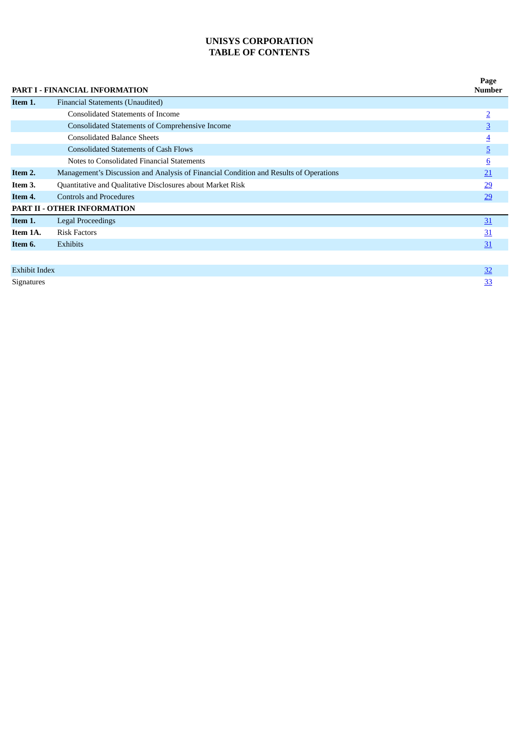# **UNISYS CORPORATION TABLE OF CONTENTS**

|                      | <b>PART I - FINANCIAL INFORMATION</b>                                                 | Page<br><b>Number</b> |
|----------------------|---------------------------------------------------------------------------------------|-----------------------|
| Item 1.              | Financial Statements (Unaudited)                                                      |                       |
|                      | <b>Consolidated Statements of Income</b>                                              | $\overline{2}$        |
|                      | Consolidated Statements of Comprehensive Income                                       | $\overline{3}$        |
|                      | <b>Consolidated Balance Sheets</b>                                                    | $\overline{4}$        |
|                      | <b>Consolidated Statements of Cash Flows</b>                                          | $\overline{5}$        |
|                      | Notes to Consolidated Financial Statements                                            | 6                     |
| Item 2.              | Management's Discussion and Analysis of Financial Condition and Results of Operations | 21                    |
| Item 3.              | Quantitative and Qualitative Disclosures about Market Risk                            | 29                    |
| Item 4.              | <b>Controls and Procedures</b>                                                        | 29                    |
|                      | <b>PART II - OTHER INFORMATION</b>                                                    |                       |
| Item 1.              | <b>Legal Proceedings</b>                                                              | 31                    |
| Item 1A.             | <b>Risk Factors</b>                                                                   | <u>31</u>             |
| Item 6.              | Exhibits                                                                              | 31                    |
|                      |                                                                                       |                       |
| <b>Exhibit Index</b> |                                                                                       | 32                    |
| <b>Signatures</b>    |                                                                                       | 33                    |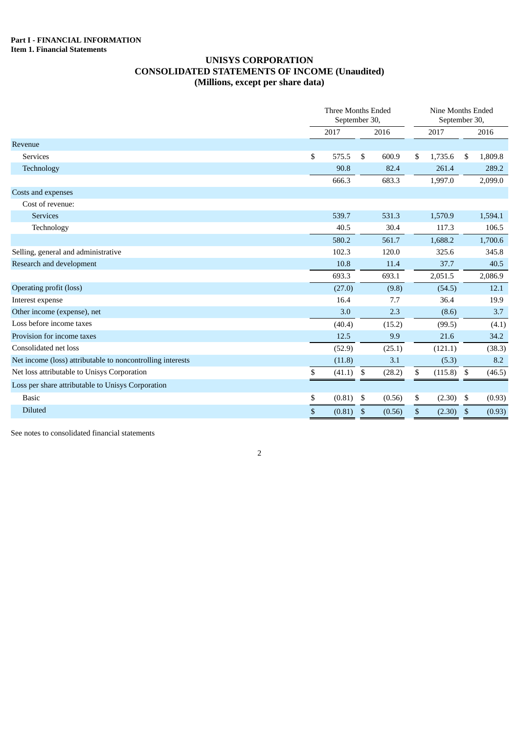# **UNISYS CORPORATION CONSOLIDATED STATEMENTS OF INCOME (Unaudited) (Millions, except per share data)**

<span id="page-2-0"></span>

|                                                            | <b>Three Months Ended</b><br>September 30, |                           |        | Nine Months Ended<br>September 30, |         |     |         |
|------------------------------------------------------------|--------------------------------------------|---------------------------|--------|------------------------------------|---------|-----|---------|
|                                                            | 2017                                       |                           | 2016   | 2017                               |         |     | 2016    |
| Revenue                                                    |                                            |                           |        |                                    |         |     |         |
| <b>Services</b>                                            | \$<br>575.5                                | \$                        | 600.9  | \$                                 | 1,735.6 | \$  | 1,809.8 |
| Technology                                                 | 90.8                                       |                           | 82.4   |                                    | 261.4   |     | 289.2   |
|                                                            | 666.3                                      |                           | 683.3  |                                    | 1,997.0 |     | 2,099.0 |
| Costs and expenses                                         |                                            |                           |        |                                    |         |     |         |
| Cost of revenue:                                           |                                            |                           |        |                                    |         |     |         |
| <b>Services</b>                                            | 539.7                                      |                           | 531.3  |                                    | 1,570.9 |     | 1,594.1 |
| Technology                                                 | 40.5                                       |                           | 30.4   |                                    | 117.3   |     | 106.5   |
|                                                            | 580.2                                      |                           | 561.7  | 1,688.2                            |         |     | 1,700.6 |
| Selling, general and administrative                        | 102.3                                      |                           | 120.0  |                                    | 325.6   |     | 345.8   |
| Research and development                                   | 10.8                                       |                           | 11.4   |                                    | 37.7    |     | 40.5    |
|                                                            | 693.3                                      |                           | 693.1  |                                    | 2,051.5 |     | 2,086.9 |
| Operating profit (loss)                                    | (27.0)                                     |                           | (9.8)  |                                    | (54.5)  |     | 12.1    |
| Interest expense                                           | 16.4                                       |                           | 7.7    |                                    | 36.4    |     | 19.9    |
| Other income (expense), net                                | 3.0                                        |                           | 2.3    |                                    | (8.6)   |     | 3.7     |
| Loss before income taxes                                   | (40.4)                                     |                           | (15.2) |                                    | (99.5)  |     | (4.1)   |
| Provision for income taxes                                 | 12.5                                       |                           | 9.9    |                                    | 21.6    |     | 34.2    |
| Consolidated net loss                                      | (52.9)                                     |                           | (25.1) |                                    | (121.1) |     | (38.3)  |
| Net income (loss) attributable to noncontrolling interests | (11.8)                                     |                           | 3.1    |                                    | (5.3)   |     | 8.2     |
| Net loss attributable to Unisys Corporation                | \$<br>(41.1)                               | \$                        | (28.2) | \$                                 | (115.8) | \$  | (46.5)  |
| Loss per share attributable to Unisys Corporation          |                                            |                           |        |                                    |         |     |         |
| <b>Basic</b>                                               | \$<br>(0.81)                               | \$                        | (0.56) | \$                                 | (2.30)  | -\$ | (0.93)  |
| <b>Diluted</b>                                             | \$<br>(0.81)                               | $\boldsymbol{\mathsf{S}}$ | (0.56) | \$                                 | (2.30)  | \$  | (0.93)  |
|                                                            |                                            |                           |        |                                    |         |     |         |

2

See notes to consolidated financial statements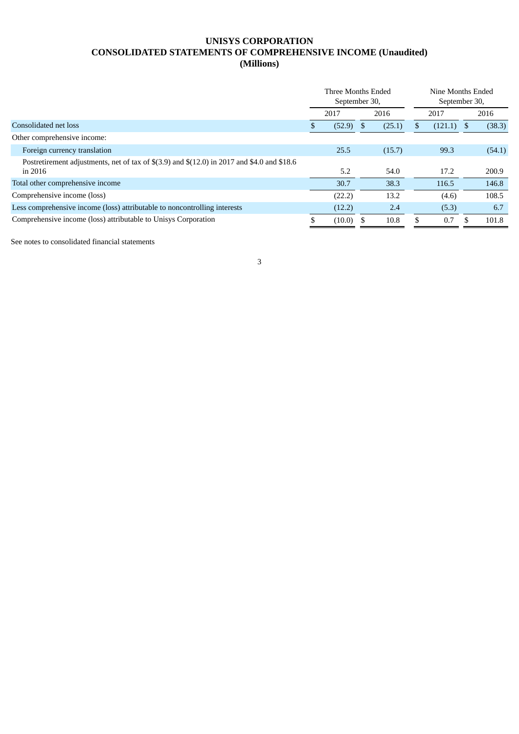# **UNISYS CORPORATION CONSOLIDATED STATEMENTS OF COMPREHENSIVE INCOME (Unaudited) (Millions)**

<span id="page-3-0"></span>

|                                                                                                          | Three Months Ended<br>September 30, |      |        |      | Nine Months Ended<br>September 30, |        |
|----------------------------------------------------------------------------------------------------------|-------------------------------------|------|--------|------|------------------------------------|--------|
|                                                                                                          | 2017                                | 2016 |        | 2017 |                                    | 2016   |
| Consolidated net loss                                                                                    | (52.9)                              | -S   | (25.1) |      | $(121.1)$ \$                       | (38.3) |
| Other comprehensive income:                                                                              |                                     |      |        |      |                                    |        |
| Foreign currency translation                                                                             | 25.5                                |      | (15.7) |      | 99.3                               | (54.1) |
| Postretirement adjustments, net of tax of \$(3.9) and \$(12.0) in 2017 and \$4.0 and \$18.6<br>in $2016$ | 5.2                                 |      | 54.0   |      | 17.2                               | 200.9  |
| Total other comprehensive income                                                                         | 30.7                                |      | 38.3   |      | 116.5                              | 146.8  |
| Comprehensive income (loss)                                                                              | (22.2)                              |      | 13.2   |      | (4.6)                              | 108.5  |
| Less comprehensive income (loss) attributable to noncontrolling interests                                | (12.2)                              |      | 2.4    |      | (5.3)                              | 6.7    |
| Comprehensive income (loss) attributable to Unisys Corporation                                           | \$<br>(10.0)                        |      | 10.8   |      | 0.7                                | 101.8  |

See notes to consolidated financial statements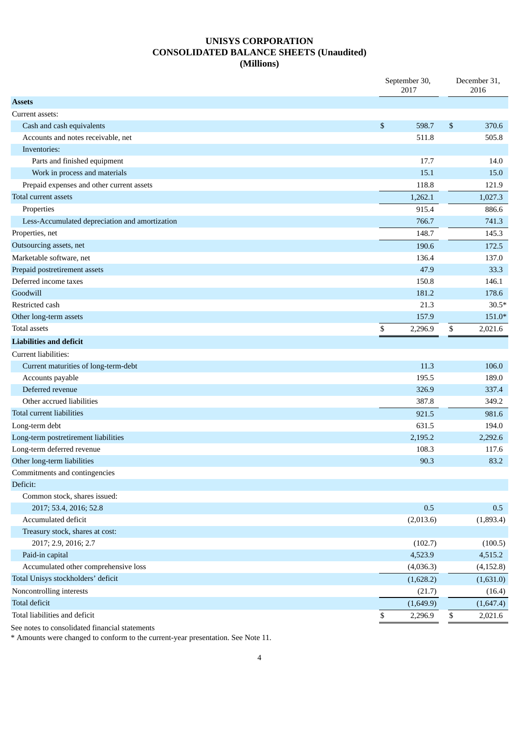# **UNISYS CORPORATION CONSOLIDATED BALANCE SHEETS (Unaudited) (Millions)**

<span id="page-4-0"></span>

|                                                | September 30,<br>2017 |               | December 31,<br>2016 |
|------------------------------------------------|-----------------------|---------------|----------------------|
| <b>Assets</b>                                  |                       |               |                      |
| Current assets:                                |                       |               |                      |
| Cash and cash equivalents                      | \$                    | 598.7<br>\$   | 370.6                |
| Accounts and notes receivable, net             |                       | 511.8         | 505.8                |
| Inventories:                                   |                       |               |                      |
| Parts and finished equipment                   |                       | 17.7          | 14.0                 |
| Work in process and materials                  |                       | 15.1          | 15.0                 |
| Prepaid expenses and other current assets      |                       | 118.8         | 121.9                |
| Total current assets                           |                       | 1,262.1       | 1,027.3              |
| Properties                                     |                       | 915.4         | 886.6                |
| Less-Accumulated depreciation and amortization |                       | 766.7         | 741.3                |
| Properties, net                                |                       | 148.7         | 145.3                |
| Outsourcing assets, net                        |                       | 190.6         | 172.5                |
| Marketable software, net                       |                       | 136.4         | 137.0                |
| Prepaid postretirement assets                  |                       | 47.9          | 33.3                 |
| Deferred income taxes                          |                       | 150.8         | 146.1                |
| Goodwill                                       |                       | 181.2         | 178.6                |
| Restricted cash                                |                       | 21.3          | $30.5*$              |
| Other long-term assets                         |                       | 157.9         | 151.0*               |
| <b>Total assets</b>                            | \$                    | \$<br>2,296.9 | 2,021.6              |
| <b>Liabilities and deficit</b>                 |                       |               |                      |
| Current liabilities:                           |                       |               |                      |
| Current maturities of long-term-debt           |                       | 11.3          | 106.0                |
| Accounts payable                               |                       | 195.5         | 189.0                |
| Deferred revenue                               |                       | 326.9         | 337.4                |
| Other accrued liabilities                      |                       | 387.8         | 349.2                |
| Total current liabilities                      |                       | 921.5         | 981.6                |
| Long-term debt                                 |                       | 631.5         | 194.0                |
| Long-term postretirement liabilities           |                       | 2,195.2       | 2,292.6              |
| Long-term deferred revenue                     |                       | 108.3         | 117.6                |
| Other long-term liabilities                    |                       | 90.3          | 83.2                 |
| Commitments and contingencies                  |                       |               |                      |
| Deficit:                                       |                       |               |                      |
| Common stock, shares issued:                   |                       |               |                      |
| 2017; 53.4, 2016; 52.8                         |                       | 0.5           | 0.5                  |
| Accumulated deficit                            |                       | (2,013.6)     | (1,893.4)            |
| Treasury stock, shares at cost:                |                       |               |                      |
| 2017; 2.9, 2016; 2.7                           |                       | (102.7)       | (100.5)              |
| Paid-in capital                                |                       | 4,523.9       | 4,515.2              |
| Accumulated other comprehensive loss           |                       | (4,036.3)     | (4, 152.8)           |
| Total Unisys stockholders' deficit             |                       | (1,628.2)     | (1,631.0)            |
| Noncontrolling interests                       |                       | (21.7)        | (16.4)               |
| Total deficit                                  |                       | (1,649.9)     | (1,647.4)            |
| Total liabilities and deficit                  | \$                    | \$<br>2,296.9 | 2,021.6              |

See notes to consolidated financial statements

\* Amounts were changed to conform to the current-year presentation. See Note 11.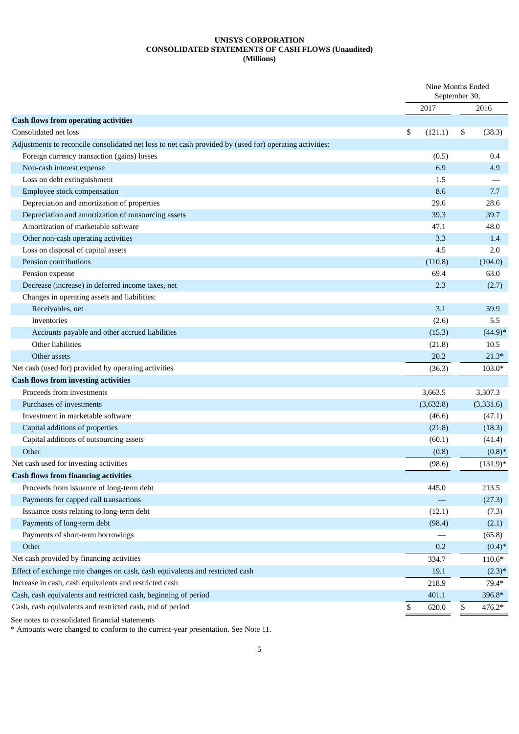# **UNISYS CORPORATION CONSOLIDATED STATEMENTS OF CASH FLOWS (Unaudited) (Millions)**

<span id="page-5-0"></span>

|                                                                                                         |    | Nine Months Ended<br>September 30, |    |            |
|---------------------------------------------------------------------------------------------------------|----|------------------------------------|----|------------|
|                                                                                                         |    | 2017                               |    | 2016       |
| <b>Cash flows from operating activities</b>                                                             |    |                                    |    |            |
| Consolidated net loss                                                                                   | \$ | (121.1)                            | \$ | (38.3)     |
| Adjustments to reconcile consolidated net loss to net cash provided by (used for) operating activities: |    |                                    |    |            |
| Foreign currency transaction (gains) losses                                                             |    | (0.5)                              |    | 0.4        |
| Non-cash interest expense                                                                               |    | 6.9                                |    | 4.9        |
| Loss on debt extinguishment                                                                             |    | 1.5                                |    |            |
| Employee stock compensation                                                                             |    | 8.6                                |    | 7.7        |
| Depreciation and amortization of properties                                                             |    | 29.6                               |    | 28.6       |
| Depreciation and amortization of outsourcing assets                                                     |    | 39.3                               |    | 39.7       |
| Amortization of marketable software                                                                     |    | 47.1                               |    | 48.0       |
| Other non-cash operating activities                                                                     |    | 3.3                                |    | 1.4        |
| Loss on disposal of capital assets                                                                      |    | 4.5                                |    | 2.0        |
| Pension contributions                                                                                   |    | (110.8)                            |    | (104.0)    |
| Pension expense                                                                                         |    | 69.4                               |    | 63.0       |
| Decrease (increase) in deferred income taxes, net                                                       |    | 2.3                                |    | (2.7)      |
| Changes in operating assets and liabilities:                                                            |    |                                    |    |            |
| Receivables, net                                                                                        |    | 3.1                                |    | 59.9       |
| <b>Inventories</b>                                                                                      |    | (2.6)                              |    | 5.5        |
| Accounts payable and other accrued liabilities                                                          |    | (15.3)                             |    | $(44.9)*$  |
| Other liabilities                                                                                       |    | (21.8)                             |    | 10.5       |
| Other assets                                                                                            |    | 20.2                               |    | $21.3*$    |
| Net cash (used for) provided by operating activities                                                    |    | (36.3)                             |    | 103.0*     |
| <b>Cash flows from investing activities</b>                                                             |    |                                    |    |            |
| Proceeds from investments                                                                               |    | 3,663.5                            |    | 3,307.3    |
| Purchases of investments                                                                                |    | (3,632.8)                          |    | (3,331.6)  |
| Investment in marketable software                                                                       |    | (46.6)                             |    | (47.1)     |
| Capital additions of properties                                                                         |    | (21.8)                             |    | (18.3)     |
| Capital additions of outsourcing assets                                                                 |    | (60.1)                             |    | (41.4)     |
| Other                                                                                                   |    | (0.8)                              |    | $(0.8)$ *  |
| Net cash used for investing activities                                                                  |    | (98.6)                             |    | $(131.9)*$ |
| <b>Cash flows from financing activities</b>                                                             |    |                                    |    |            |
| Proceeds from issuance of long-term debt                                                                |    | 445.0                              |    | 213.5      |
| Payments for capped call transactions                                                                   |    |                                    |    | (27.3)     |
| Issuance costs relating to long-term debt                                                               |    | (12.1)                             |    | (7.3)      |
| Payments of long-term debt                                                                              |    | (98.4)                             |    | (2.1)      |
| Payments of short-term borrowings                                                                       |    |                                    |    | (65.8)     |
| Other                                                                                                   |    | 0.2                                |    | $(0.4)$ *  |
| Net cash provided by financing activities                                                               |    | 334.7                              |    | $110.6*$   |
| Effect of exchange rate changes on cash, cash equivalents and restricted cash                           |    | $19.1\,$                           |    | $(2.3)*$   |
| Increase in cash, cash equivalents and restricted cash                                                  |    | 218.9                              |    | 79.4*      |
| Cash, cash equivalents and restricted cash, beginning of period                                         |    | 401.1                              |    | 396.8*     |
| Cash, cash equivalents and restricted cash, end of period                                               | \$ | 620.0                              | \$ | 476.2*     |
|                                                                                                         |    |                                    |    |            |

See notes to consolidated financial statements

\* Amounts were changed to conform to the current-year presentation. See Note 11.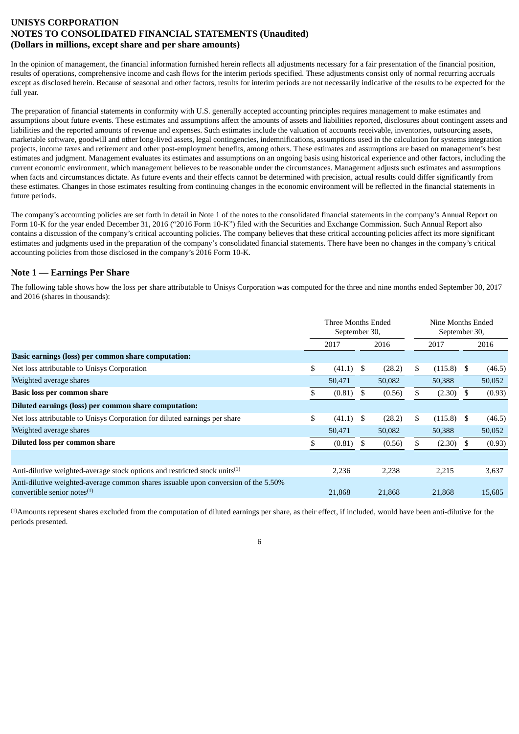# <span id="page-6-0"></span>**UNISYS CORPORATION NOTES TO CONSOLIDATED FINANCIAL STATEMENTS (Unaudited) (Dollars in millions, except share and per share amounts)**

In the opinion of management, the financial information furnished herein reflects all adjustments necessary for a fair presentation of the financial position, results of operations, comprehensive income and cash flows for the interim periods specified. These adjustments consist only of normal recurring accruals except as disclosed herein. Because of seasonal and other factors, results for interim periods are not necessarily indicative of the results to be expected for the full year.

The preparation of financial statements in conformity with U.S. generally accepted accounting principles requires management to make estimates and assumptions about future events. These estimates and assumptions affect the amounts of assets and liabilities reported, disclosures about contingent assets and liabilities and the reported amounts of revenue and expenses. Such estimates include the valuation of accounts receivable, inventories, outsourcing assets, marketable software, goodwill and other long-lived assets, legal contingencies, indemnifications, assumptions used in the calculation for systems integration projects, income taxes and retirement and other post-employment benefits, among others. These estimates and assumptions are based on management's best estimates and judgment. Management evaluates its estimates and assumptions on an ongoing basis using historical experience and other factors, including the current economic environment, which management believes to be reasonable under the circumstances. Management adjusts such estimates and assumptions when facts and circumstances dictate. As future events and their effects cannot be determined with precision, actual results could differ significantly from these estimates. Changes in those estimates resulting from continuing changes in the economic environment will be reflected in the financial statements in future periods.

The company's accounting policies are set forth in detail in Note 1 of the notes to the consolidated financial statements in the company's Annual Report on Form 10-K for the year ended December 31, 2016 ("2016 Form 10-K") filed with the Securities and Exchange Commission. Such Annual Report also contains a discussion of the company's critical accounting policies. The company believes that these critical accounting policies affect its more significant estimates and judgments used in the preparation of the company's consolidated financial statements. There have been no changes in the company's critical accounting policies from those disclosed in the company's 2016 Form 10-K.

## **Note 1 — Earnings Per Share**

The following table shows how the loss per share attributable to Unisys Corporation was computed for the three and nine months ended September 30, 2017 and 2016 (shares in thousands):

|                                                                                                                      | Three Months Ended<br>September 30, |     |        | Nine Months Ended<br>September 30, |              |  |        |  |
|----------------------------------------------------------------------------------------------------------------------|-------------------------------------|-----|--------|------------------------------------|--------------|--|--------|--|
|                                                                                                                      | 2017                                |     | 2016   |                                    | 2017         |  | 2016   |  |
| Basic earnings (loss) per common share computation:                                                                  |                                     |     |        |                                    |              |  |        |  |
| Net loss attributable to Unisys Corporation                                                                          | \$<br>(41.1)                        | \$  | (28.2) | \$                                 | $(115.8)$ \$ |  | (46.5) |  |
| Weighted average shares                                                                                              | 50,471                              |     | 50,082 |                                    | 50,388       |  | 50,052 |  |
| <b>Basic loss per common share</b>                                                                                   | (0.81)                              | -S  | (0.56) |                                    | $(2.30)$ \$  |  | (0.93) |  |
| Diluted earnings (loss) per common share computation:                                                                |                                     |     |        |                                    |              |  |        |  |
| Net loss attributable to Unisys Corporation for diluted earnings per share                                           | \$<br>(41.1)                        | -\$ | (28.2) | \$                                 | $(115.8)$ \$ |  | (46.5) |  |
| Weighted average shares                                                                                              | 50,471                              |     | 50,082 |                                    | 50,388       |  | 50,052 |  |
| Diluted loss per common share                                                                                        | (0.81)                              |     | (0.56) |                                    | $(2.30)$ \$  |  | (0.93) |  |
|                                                                                                                      |                                     |     |        |                                    |              |  |        |  |
| Anti-dilutive weighted-average stock options and restricted stock units <sup>(1)</sup>                               | 2,236                               |     | 2,238  |                                    | 2,215        |  | 3,637  |  |
| Anti-dilutive weighted-average common shares issuable upon conversion of the 5.50%<br>convertible senior notes $(1)$ | 21,868                              |     | 21,868 |                                    | 21,868       |  | 15,685 |  |

(1)Amounts represent shares excluded from the computation of diluted earnings per share, as their effect, if included, would have been anti-dilutive for the periods presented.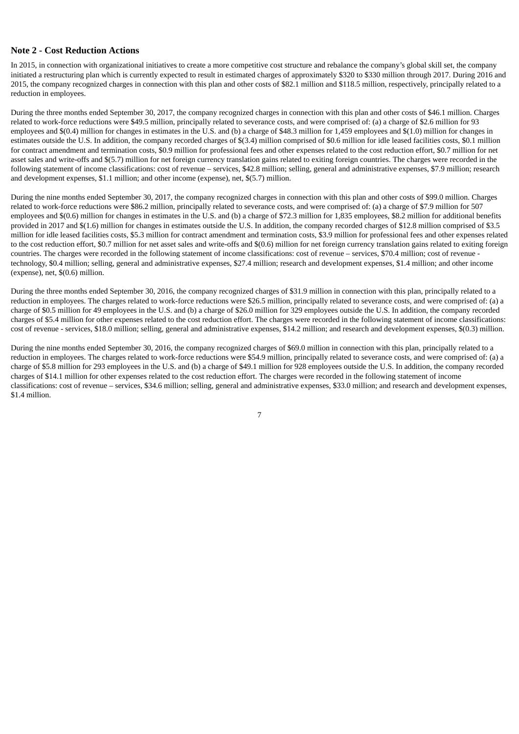# **Note 2 - Cost Reduction Actions**

In 2015, in connection with organizational initiatives to create a more competitive cost structure and rebalance the company's global skill set, the company initiated a restructuring plan which is currently expected to result in estimated charges of approximately \$320 to \$330 million through 2017. During 2016 and 2015, the company recognized charges in connection with this plan and other costs of \$82.1 million and \$118.5 million, respectively, principally related to a reduction in employees.

During the three months ended September 30, 2017, the company recognized charges in connection with this plan and other costs of \$46.1 million. Charges related to work-force reductions were \$49.5 million, principally related to severance costs, and were comprised of: (a) a charge of \$2.6 million for 93 employees and \$(0.4) million for changes in estimates in the U.S. and (b) a charge of \$48.3 million for 1,459 employees and \$(1.0) million for changes in estimates outside the U.S. In addition, the company recorded charges of \$(3.4) million comprised of \$0.6 million for idle leased facilities costs, \$0.1 million for contract amendment and termination costs, \$0.9 million for professional fees and other expenses related to the cost reduction effort, \$0.7 million for net asset sales and write-offs and \$(5.7) million for net foreign currency translation gains related to exiting foreign countries. The charges were recorded in the following statement of income classifications: cost of revenue – services, \$42.8 million; selling, general and administrative expenses, \$7.9 million; research and development expenses, \$1.1 million; and other income (expense), net, \$(5.7) million.

During the nine months ended September 30, 2017, the company recognized charges in connection with this plan and other costs of \$99.0 million. Charges related to work-force reductions were \$86.2 million, principally related to severance costs, and were comprised of: (a) a charge of \$7.9 million for 507 employees and \$(0.6) million for changes in estimates in the U.S. and (b) a charge of \$72.3 million for 1,835 employees, \$8.2 million for additional benefits provided in 2017 and \$(1.6) million for changes in estimates outside the U.S. In addition, the company recorded charges of \$12.8 million comprised of \$3.5 million for idle leased facilities costs, \$5.3 million for contract amendment and termination costs, \$3.9 million for professional fees and other expenses related to the cost reduction effort, \$0.7 million for net asset sales and write-offs and \$(0.6) million for net foreign currency translation gains related to exiting foreign countries. The charges were recorded in the following statement of income classifications: cost of revenue – services, \$70.4 million; cost of revenue technology, \$0.4 million; selling, general and administrative expenses, \$27.4 million; research and development expenses, \$1.4 million; and other income (expense), net, \$(0.6) million.

During the three months ended September 30, 2016, the company recognized charges of \$31.9 million in connection with this plan, principally related to a reduction in employees. The charges related to work-force reductions were \$26.5 million, principally related to severance costs, and were comprised of: (a) a charge of \$0.5 million for 49 employees in the U.S. and (b) a charge of \$26.0 million for 329 employees outside the U.S. In addition, the company recorded charges of \$5.4 million for other expenses related to the cost reduction effort. The charges were recorded in the following statement of income classifications: cost of revenue - services, \$18.0 million; selling, general and administrative expenses, \$14.2 million; and research and development expenses, \$(0.3) million.

During the nine months ended September 30, 2016, the company recognized charges of \$69.0 million in connection with this plan, principally related to a reduction in employees. The charges related to work-force reductions were \$54.9 million, principally related to severance costs, and were comprised of: (a) a charge of \$5.8 million for 293 employees in the U.S. and (b) a charge of \$49.1 million for 928 employees outside the U.S. In addition, the company recorded charges of \$14.1 million for other expenses related to the cost reduction effort. The charges were recorded in the following statement of income classifications: cost of revenue – services, \$34.6 million; selling, general and administrative expenses, \$33.0 million; and research and development expenses, \$1.4 million.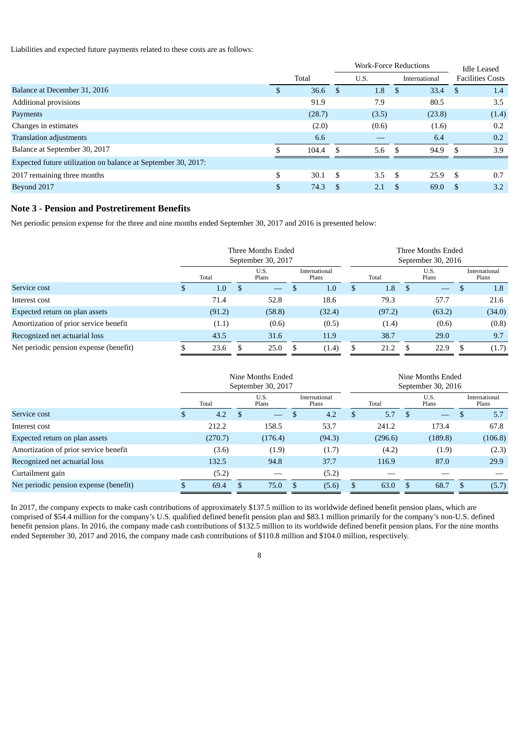Liabilities and expected future payments related to these costs are as follows:

|                                                               |    |        |     | <b>Work-Force Reductions</b> |      | <b>Idle Leased</b> |    |                         |  |
|---------------------------------------------------------------|----|--------|-----|------------------------------|------|--------------------|----|-------------------------|--|
|                                                               |    | Total  |     | U.S.                         |      | International      |    | <b>Facilities Costs</b> |  |
| Balance at December 31, 2016                                  | D  | 36.6   | S   | 1.8                          | - \$ | 33.4               | S  | 1.4                     |  |
| Additional provisions                                         |    | 91.9   |     | 7.9                          |      | 80.5               |    | 3.5                     |  |
| Payments                                                      |    | (28.7) |     | (3.5)                        |      | (23.8)             |    | (1.4)                   |  |
| Changes in estimates                                          |    | (2.0)  |     | (0.6)                        |      | (1.6)              |    | 0.2                     |  |
| <b>Translation adjustments</b>                                |    | 6.6    |     |                              |      | 6.4                |    | 0.2                     |  |
| Balance at September 30, 2017                                 |    | 104.4  | -S  | 5.6                          | - \$ | 94.9               | .S | 3.9                     |  |
| Expected future utilization on balance at September 30, 2017: |    |        |     |                              |      |                    |    |                         |  |
| 2017 remaining three months                                   | \$ | 30.1   | \$. | 3.5                          | - \$ | 25.9               | -S | 0.7                     |  |
| Beyond 2017                                                   | \$ | 74.3   |     | 2.1                          | -S   | 69.0               |    | 3.2                     |  |

# **Note 3 - Pension and Postretirement Benefits**

Net periodic pension expense for the three and nine months ended September 30, 2017 and 2016 is presented below:

|                                        | Three Months Ended<br>September 30, 2017 |                                                  |   |        |  |        |   | Three Months Ended<br>September 30, 2016 |    |                          |  |        |                        |  |  |  |  |
|----------------------------------------|------------------------------------------|--------------------------------------------------|---|--------|--|--------|---|------------------------------------------|----|--------------------------|--|--------|------------------------|--|--|--|--|
|                                        |                                          | U.S.<br>International<br>Total<br>Plans<br>Plans |   |        |  |        |   | Total                                    |    | U.S.<br>Plans            |  |        | International<br>Plans |  |  |  |  |
| Service cost                           |                                          | 1.0                                              | Ъ | السنا  |  | 1.0    | S | 1.8                                      | -S | $\overline{\phantom{0}}$ |  | 1.8    |                        |  |  |  |  |
| Interest cost                          |                                          | 71.4                                             |   | 52.8   |  | 18.6   |   | 79.3                                     |    | 57.7                     |  | 21.6   |                        |  |  |  |  |
| Expected return on plan assets         |                                          | (91.2)                                           |   | (58.8) |  | (32.4) |   | (97.2)                                   |    | (63.2)                   |  | (34.0) |                        |  |  |  |  |
| Amortization of prior service benefit  |                                          | (1.1)                                            |   | (0.6)  |  | (0.5)  |   | (1.4)                                    |    | (0.6)                    |  | (0.8)  |                        |  |  |  |  |
| Recognized net actuarial loss          |                                          | 43.5                                             |   | 31.6   |  | 11.9   |   | 38.7                                     |    | 29.0                     |  | 9.7    |                        |  |  |  |  |
| Net periodic pension expense (benefit) |                                          | 23.6                                             |   | 25.0   |  | (1.4)  |   | 21.2                                     |    | 22.9                     |  | (1.7)  |                        |  |  |  |  |

|                                        |         | Nine Months Ended<br>September 30, 2017 |               | Nine Months Ended<br>September 30, 2016 |        |       |         |               |         |    |                        |  |
|----------------------------------------|---------|-----------------------------------------|---------------|-----------------------------------------|--------|-------|---------|---------------|---------|----|------------------------|--|
|                                        | Total   |                                         | U.S.<br>Plans | International<br>Plans                  |        | Total |         | U.S.<br>Plans |         |    | International<br>Plans |  |
| Service cost                           | 4.2     |                                         |               |                                         | 4.2    |       | 5.7     | -\$           |         | -S | 5.7                    |  |
| Interest cost                          | 212.2   |                                         | 158.5         |                                         | 53.7   |       | 241.2   |               | 173.4   |    | 67.8                   |  |
| Expected return on plan assets         | (270.7) |                                         | (176.4)       |                                         | (94.3) |       | (296.6) |               | (189.8) |    | (106.8)                |  |
| Amortization of prior service benefit  | (3.6)   |                                         | (1.9)         |                                         | (1.7)  |       | (4.2)   |               | (1.9)   |    | (2.3)                  |  |
| Recognized net actuarial loss          | 132.5   |                                         | 94.8          |                                         | 37.7   |       | 116.9   |               | 87.0    |    | 29.9                   |  |
| Curtailment gain                       | (5.2)   |                                         |               |                                         | (5.2)  |       |         |               |         |    |                        |  |
| Net periodic pension expense (benefit) | 69.4    |                                         | 75.0          |                                         | (5.6)  |       | 63.0    | -S            | 68.7    |    | (5.7)                  |  |

In 2017, the company expects to make cash contributions of approximately \$137.5 million to its worldwide defined benefit pension plans, which are comprised of \$54.4 million for the company's U.S. qualified defined benefit pension plan and \$83.1 million primarily for the company's non-U.S. defined benefit pension plans. In 2016, the company made cash contributions of \$132.5 million to its worldwide defined benefit pension plans. For the nine months ended September 30, 2017 and 2016, the company made cash contributions of \$110.8 million and \$104.0 million, respectively.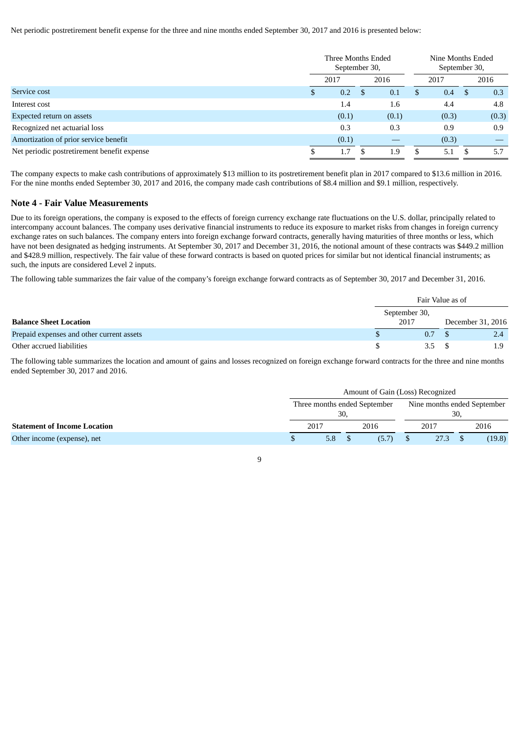Net periodic postretirement benefit expense for the three and nine months ended September 30, 2017 and 2016 is presented below:

|                                             | Three Months Ended<br>September 30, |   |       |    | Nine Months Ended<br>September 30, |    |       |
|---------------------------------------------|-------------------------------------|---|-------|----|------------------------------------|----|-------|
|                                             | 2017                                |   | 2016  |    | 2017                               |    | 2016  |
| Service cost                                | 0.2                                 | Ж | 0.1   | S. | 0.4                                | -5 | 0.3   |
| Interest cost                               | 1.4                                 |   | 1.6   |    | 4.4                                |    | 4.8   |
| Expected return on assets                   | (0.1)                               |   | (0.1) |    | (0.3)                              |    | (0.3) |
| Recognized net actuarial loss               | 0.3                                 |   | 0.3   |    | 0.9                                |    | 0.9   |
| Amortization of prior service benefit       | (0.1)                               |   |       |    | (0.3)                              |    |       |
| Net periodic postretirement benefit expense | 1.7                                 |   | 1.9   |    | 5.1                                |    | 5.7   |

The company expects to make cash contributions of approximately \$13 million to its postretirement benefit plan in 2017 compared to \$13.6 million in 2016. For the nine months ended September 30, 2017 and 2016, the company made cash contributions of \$8.4 million and \$9.1 million, respectively.

### **Note 4 - Fair Value Measurements**

Due to its foreign operations, the company is exposed to the effects of foreign currency exchange rate fluctuations on the U.S. dollar, principally related to intercompany account balances. The company uses derivative financial instruments to reduce its exposure to market risks from changes in foreign currency exchange rates on such balances. The company enters into foreign exchange forward contracts, generally having maturities of three months or less, which have not been designated as hedging instruments. At September 30, 2017 and December 31, 2016, the notional amount of these contracts was \$449.2 million and \$428.9 million, respectively. The fair value of these forward contracts is based on quoted prices for similar but not identical financial instruments; as such, the inputs are considered Level 2 inputs.

The following table summarizes the fair value of the company's foreign exchange forward contracts as of September 30, 2017 and December 31, 2016.

|                                           |               | Fair Value as of |                   |  |  |  |  |  |  |  |  |
|-------------------------------------------|---------------|------------------|-------------------|--|--|--|--|--|--|--|--|
|                                           | September 30, |                  |                   |  |  |  |  |  |  |  |  |
| <b>Balance Sheet Location</b>             | 2017          |                  | December 31, 2016 |  |  |  |  |  |  |  |  |
| Prepaid expenses and other current assets |               | 0.7              |                   |  |  |  |  |  |  |  |  |
| Other accrued liabilities                 |               | 3.5              |                   |  |  |  |  |  |  |  |  |

The following table summarizes the location and amount of gains and losses recognized on foreign exchange forward contracts for the three and nine months ended September 30, 2017 and 2016.

|                                     |                                     |     |      |       | Amount of Gain (Loss) Recognized |                             |  |        |  |      |  |  |
|-------------------------------------|-------------------------------------|-----|------|-------|----------------------------------|-----------------------------|--|--------|--|------|--|--|
|                                     | Three months ended September<br>30. |     |      |       |                                  | Nine months ended September |  |        |  |      |  |  |
|                                     |                                     |     |      |       |                                  | 30.                         |  |        |  |      |  |  |
| <b>Statement of Income Location</b> | 2017                                |     | 2016 |       |                                  |                             |  | 2017   |  | 2016 |  |  |
| Other income (expense), net         |                                     | 5.8 |      | (5.7) |                                  | $27.3$ \$                   |  | (19.8) |  |      |  |  |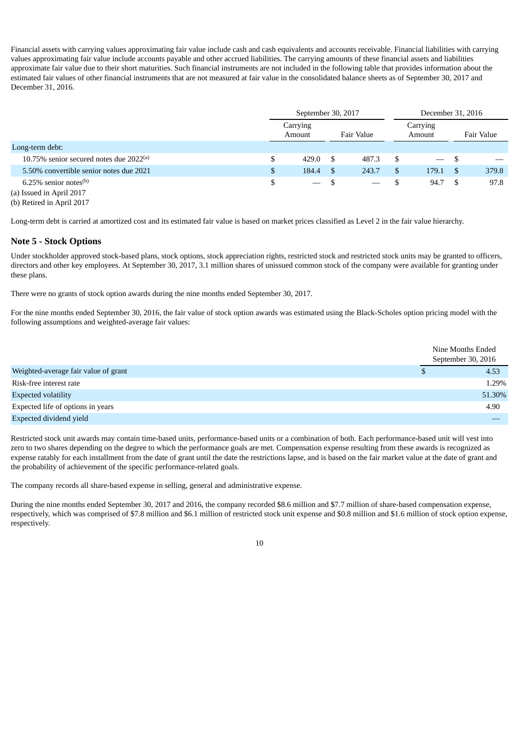Financial assets with carrying values approximating fair value include cash and cash equivalents and accounts receivable. Financial liabilities with carrying values approximating fair value include accounts payable and other accrued liabilities. The carrying amounts of these financial assets and liabilities approximate fair value due to their short maturities. Such financial instruments are not included in the following table that provides information about the estimated fair values of other financial instruments that are not measured at fair value in the consolidated balance sheets as of September 30, 2017 and December 31, 2016.

|                                                     |    | September 30, 2017 |            |                    |    | December 31, 2016 |            |       |
|-----------------------------------------------------|----|--------------------|------------|--------------------|----|-------------------|------------|-------|
|                                                     |    | Carrying<br>Amount | Fair Value | Carrying<br>Amount |    |                   | Fair Value |       |
| Long-term debt:                                     |    |                    |            |                    |    |                   |            |       |
| 10.75% senior secured notes due $2022^{\text{(a)}}$ | S  | 429.0              |            | 487.3              | \$ | — \$              |            |       |
| 5.50% convertible senior notes due 2021             | \$ | 184.4              |            | 243.7              | \$ | 179.1             | -S         | 379.8 |
| $6.25\%$ senior notes <sup>(b)</sup>                | S  |                    |            |                    | \$ | 94.7              |            | 97.8  |
| (a) Issued in April 2017                            |    |                    |            |                    |    |                   |            |       |

(b) Retired in April 2017

Long-term debt is carried at amortized cost and its estimated fair value is based on market prices classified as Level 2 in the fair value hierarchy.

### **Note 5 - Stock Options**

Under stockholder approved stock-based plans, stock options, stock appreciation rights, restricted stock and restricted stock units may be granted to officers, directors and other key employees. At September 30, 2017, 3.1 million shares of unissued common stock of the company were available for granting under these plans.

There were no grants of stock option awards during the nine months ended September 30, 2017.

For the nine months ended September 30, 2016, the fair value of stock option awards was estimated using the Black-Scholes option pricing model with the following assumptions and weighted-average fair values:

|                                      | Nine Months Ended<br>September 30, 2016 |
|--------------------------------------|-----------------------------------------|
| Weighted-average fair value of grant | 4.53                                    |
| Risk-free interest rate              | 1.29%                                   |
| <b>Expected volatility</b>           | 51.30%                                  |
| Expected life of options in years    | 4.90                                    |
| <b>Expected dividend yield</b>       |                                         |

Restricted stock unit awards may contain time-based units, performance-based units or a combination of both. Each performance-based unit will vest into zero to two shares depending on the degree to which the performance goals are met. Compensation expense resulting from these awards is recognized as expense ratably for each installment from the date of grant until the date the restrictions lapse, and is based on the fair market value at the date of grant and the probability of achievement of the specific performance-related goals.

The company records all share-based expense in selling, general and administrative expense.

During the nine months ended September 30, 2017 and 2016, the company recorded \$8.6 million and \$7.7 million of share-based compensation expense, respectively, which was comprised of \$7.8 million and \$6.1 million of restricted stock unit expense and \$0.8 million and \$1.6 million of stock option expense, respectively.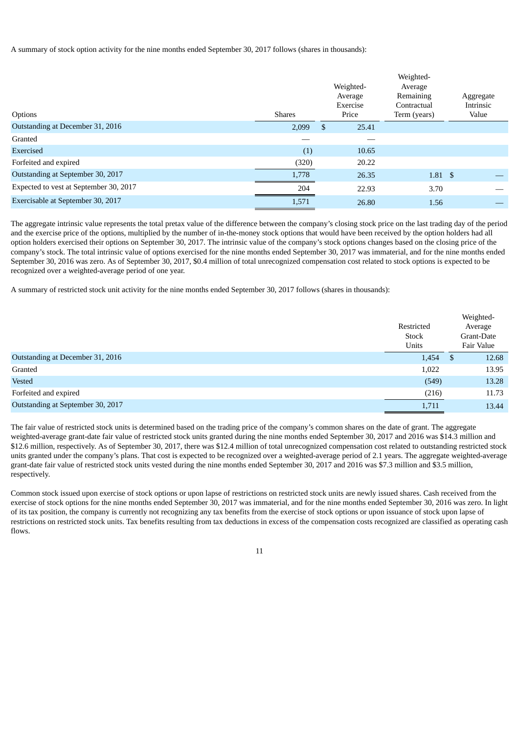A summary of stock option activity for the nine months ended September 30, 2017 follows (shares in thousands):

| Options                                | Shares |   | Weighted-<br>Average<br>Exercise<br>Price | Weighted-<br>Average<br>Remaining<br>Contractual<br>Term (years) | Aggregate<br>Intrinsic<br>Value |
|----------------------------------------|--------|---|-------------------------------------------|------------------------------------------------------------------|---------------------------------|
| Outstanding at December 31, 2016       | 2,099  | S | 25.41                                     |                                                                  |                                 |
| Granted                                |        |   |                                           |                                                                  |                                 |
| Exercised                              | (1)    |   | 10.65                                     |                                                                  |                                 |
| Forfeited and expired                  | (320)  |   | 20.22                                     |                                                                  |                                 |
| Outstanding at September 30, 2017      | 1,778  |   | 26.35                                     | $1.81 \quad $$                                                   |                                 |
| Expected to vest at September 30, 2017 | 204    |   | 22.93                                     | 3.70                                                             |                                 |
| Exercisable at September 30, 2017      | 1,571  |   | 26.80                                     | 1.56                                                             |                                 |

The aggregate intrinsic value represents the total pretax value of the difference between the company's closing stock price on the last trading day of the period and the exercise price of the options, multiplied by the number of in-the-money stock options that would have been received by the option holders had all option holders exercised their options on September 30, 2017. The intrinsic value of the company's stock options changes based on the closing price of the company's stock. The total intrinsic value of options exercised for the nine months ended September 30, 2017 was immaterial, and for the nine months ended September 30, 2016 was zero. As of September 30, 2017, \$0.4 million of total unrecognized compensation cost related to stock options is expected to be recognized over a weighted-average period of one year.

A summary of restricted stock unit activity for the nine months ended September 30, 2017 follows (shares in thousands):

|                                   | Restricted<br><b>Stock</b><br>Units |     | Weighted-<br>Average<br>Grant-Date<br>Fair Value |
|-----------------------------------|-------------------------------------|-----|--------------------------------------------------|
| Outstanding at December 31, 2016  | 1,454                               | -\$ | 12.68                                            |
| Granted                           | 1,022                               |     | 13.95                                            |
| Vested                            | (549)                               |     | 13.28                                            |
| Forfeited and expired             | (216)                               |     | 11.73                                            |
| Outstanding at September 30, 2017 | 1,711                               |     | 13.44                                            |

The fair value of restricted stock units is determined based on the trading price of the company's common shares on the date of grant. The aggregate weighted-average grant-date fair value of restricted stock units granted during the nine months ended September 30, 2017 and 2016 was \$14.3 million and \$12.6 million, respectively. As of September 30, 2017, there was \$12.4 million of total unrecognized compensation cost related to outstanding restricted stock units granted under the company's plans. That cost is expected to be recognized over a weighted-average period of 2.1 years. The aggregate weighted-average grant-date fair value of restricted stock units vested during the nine months ended September 30, 2017 and 2016 was \$7.3 million and \$3.5 million, respectively.

Common stock issued upon exercise of stock options or upon lapse of restrictions on restricted stock units are newly issued shares. Cash received from the exercise of stock options for the nine months ended September 30, 2017 was immaterial, and for the nine months ended September 30, 2016 was zero. In light of its tax position, the company is currently not recognizing any tax benefits from the exercise of stock options or upon issuance of stock upon lapse of restrictions on restricted stock units. Tax benefits resulting from tax deductions in excess of the compensation costs recognized are classified as operating cash flows.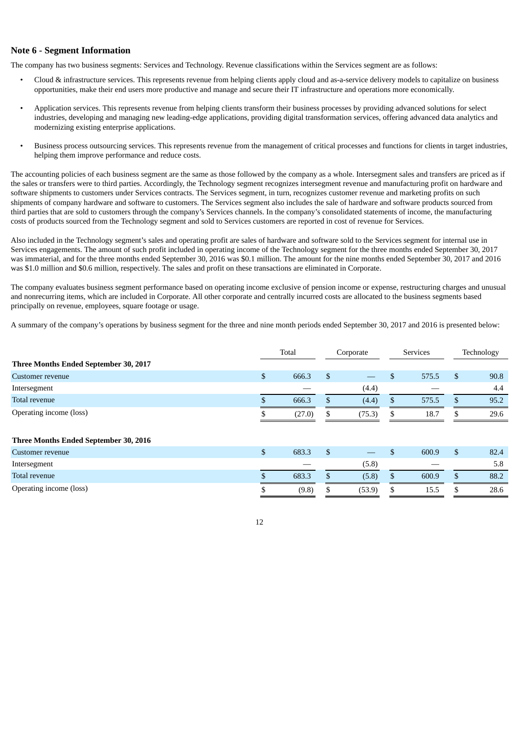# **Note 6 - Segment Information**

The company has two business segments: Services and Technology. Revenue classifications within the Services segment are as follows:

- Cloud & infrastructure services. This represents revenue from helping clients apply cloud and as-a-service delivery models to capitalize on business opportunities, make their end users more productive and manage and secure their IT infrastructure and operations more economically.
- Application services. This represents revenue from helping clients transform their business processes by providing advanced solutions for select industries, developing and managing new leading-edge applications, providing digital transformation services, offering advanced data analytics and modernizing existing enterprise applications.
- Business process outsourcing services. This represents revenue from the management of critical processes and functions for clients in target industries, helping them improve performance and reduce costs.

The accounting policies of each business segment are the same as those followed by the company as a whole. Intersegment sales and transfers are priced as if the sales or transfers were to third parties. Accordingly, the Technology segment recognizes intersegment revenue and manufacturing profit on hardware and software shipments to customers under Services contracts. The Services segment, in turn, recognizes customer revenue and marketing profits on such shipments of company hardware and software to customers. The Services segment also includes the sale of hardware and software products sourced from third parties that are sold to customers through the company's Services channels. In the company's consolidated statements of income, the manufacturing costs of products sourced from the Technology segment and sold to Services customers are reported in cost of revenue for Services.

Also included in the Technology segment's sales and operating profit are sales of hardware and software sold to the Services segment for internal use in Services engagements. The amount of such profit included in operating income of the Technology segment for the three months ended September 30, 2017 was immaterial, and for the three months ended September 30, 2016 was \$0.1 million. The amount for the nine months ended September 30, 2017 and 2016 was \$1.0 million and \$0.6 million, respectively. The sales and profit on these transactions are eliminated in Corporate.

The company evaluates business segment performance based on operating income exclusive of pension income or expense, restructuring charges and unusual and nonrecurring items, which are included in Corporate. All other corporate and centrally incurred costs are allocated to the business segments based principally on revenue, employees, square footage or usage.

A summary of the company's operations by business segment for the three and nine month periods ended September 30, 2017 and 2016 is presented below:

|                                              | Total       |                | Corporate | Services     |       |     | Technology |
|----------------------------------------------|-------------|----------------|-----------|--------------|-------|-----|------------|
| <b>Three Months Ended September 30, 2017</b> |             |                |           |              |       |     |            |
| Customer revenue                             | \$<br>666.3 | $\mathbf{s}$   |           | \$           | 575.5 | S   | 90.8       |
| Intersegment                                 |             |                | (4.4)     |              |       |     | 4.4        |
| Total revenue                                | 666.3       | \$.            | (4.4)     | \$           | 575.5 |     | 95.2       |
| Operating income (loss)                      | (27.0)      | S              | (75.3)    | \$           | 18.7  | J.  | 29.6       |
|                                              |             |                |           |              |       |     |            |
| Three Months Ended September 30, 2016        |             |                |           |              |       |     |            |
| Customer revenue                             | \$<br>683.3 | $\mathfrak{S}$ | —         | $\mathbb{S}$ | 600.9 | \$. | 82.4       |
| Intersegment                                 |             |                | (5.8)     |              |       |     | 5.8        |
| Total revenue                                | 683.3       | \$.            | (5.8)     | \$           | 600.9 | \$  | 88.2       |
| Operating income (loss)                      | (9.8)       | \$.            | (53.9)    | \$           | 15.5  |     | 28.6       |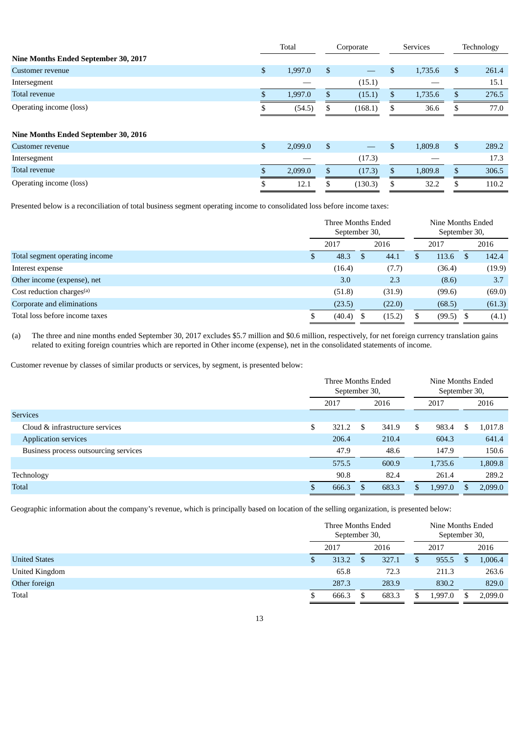|                                      |    | Total   | Corporate     |         | <b>Services</b> |         |     | Technology |
|--------------------------------------|----|---------|---------------|---------|-----------------|---------|-----|------------|
| Nine Months Ended September 30, 2017 |    |         |               |         |                 |         |     |            |
| Customer revenue                     | \$ | 1,997.0 | \$            |         | \$              | 1,735.6 | S   | 261.4      |
| Intersegment                         |    |         |               | (15.1)  |                 |         |     | 15.1       |
| Total revenue                        |    | 1,997.0 |               | (15.1)  | \$.             | 1,735.6 |     | 276.5      |
| Operating income (loss)              |    | (54.5)  | \$            | (168.1) | S               | 36.6    | \$  | 77.0       |
|                                      |    |         |               |         |                 |         |     |            |
| Nine Months Ended September 30, 2016 |    |         |               |         |                 |         |     |            |
| Customer revenue                     | \$ | 2,099.0 | <sup>\$</sup> |         | \$              | 1,809.8 | \$. | 289.2      |
| Intersegment                         |    |         |               | (17.3)  |                 |         |     | 17.3       |
| Total revenue                        |    | 2,099.0 | \$.           | (17.3)  |                 | 1,809.8 |     | 306.5      |
| Operating income (loss)              | Ъ. | 12.1    |               | (130.3) | S               | 32.2    |     | 110.2      |

Presented below is a reconciliation of total business segment operating income to consolidated loss before income taxes:

|                                | Three Months Ended<br>September 30, |        |  |        |  |        |      | Nine Months Ended<br>September 30, |  |
|--------------------------------|-------------------------------------|--------|--|--------|--|--------|------|------------------------------------|--|
|                                | 2017                                |        |  | 2016   |  | 2017   | 2016 |                                    |  |
| Total segment operating income | ზ                                   | 48.3   |  | 44.1   |  | 113.6  |      | 142.4                              |  |
| Interest expense               |                                     | (16.4) |  | (7.7)  |  | (36.4) |      | (19.9)                             |  |
| Other income (expense), net    |                                     | 3.0    |  | 2.3    |  | (8.6)  |      | 3.7                                |  |
| Cost reduction charges $(a)$   |                                     | (51.8) |  | (31.9) |  | (99.6) |      | (69.0)                             |  |
| Corporate and eliminations     |                                     | (23.5) |  | (22.0) |  | (68.5) |      | (61.3)                             |  |
| Total loss before income taxes |                                     | (40.4) |  | (15.2) |  | (99.5) |      | (4.1)                              |  |

(a) The three and nine months ended September 30, 2017 excludes \$5.7 million and \$0.6 million, respectively, for net foreign currency translation gains related to exiting foreign countries which are reported in Other income (expense), net in the consolidated statements of income.

Customer revenue by classes of similar products or services, by segment, is presented below:

|                                       | Three Months Ended<br>September 30, |    |       |      | Nine Months Ended<br>September 30, |   |         |
|---------------------------------------|-------------------------------------|----|-------|------|------------------------------------|---|---------|
|                                       | 2017                                |    | 2016  | 2017 |                                    |   | 2016    |
| <b>Services</b>                       |                                     |    |       |      |                                    |   |         |
| Cloud & infrastructure services       | \$<br>321.2                         | -S | 341.9 | \$.  | 983.4                              | S | 1,017.8 |
| <b>Application services</b>           | 206.4                               |    | 210.4 |      | 604.3                              |   | 641.4   |
| Business process outsourcing services | 47.9                                |    | 48.6  |      | 147.9                              |   | 150.6   |
|                                       | 575.5                               |    | 600.9 |      | 1,735.6                            |   | 1,809.8 |
| Technology                            | 90.8                                |    | 82.4  |      | 261.4                              |   | 289.2   |
| <b>Total</b>                          | 666.3                               |    | 683.3 | £.   | 1,997.0                            |   | 2,099.0 |

Geographic information about the company's revenue, which is principally based on location of the selling organization, is presented below:

|                      | Three Months Ended<br>September 30, |       |  |       |  | Nine Months Ended<br>September 30, |         |
|----------------------|-------------------------------------|-------|--|-------|--|------------------------------------|---------|
|                      |                                     | 2017  |  | 2016  |  | 2017                               | 2016    |
| <b>United States</b> | \$                                  | 313.2 |  | 327.1 |  | 955.5                              | 1,006.4 |
| United Kingdom       |                                     | 65.8  |  | 72.3  |  | 211.3                              | 263.6   |
| Other foreign        |                                     | 287.3 |  | 283.9 |  | 830.2                              | 829.0   |
| Total                |                                     | 666.3 |  | 683.3 |  | 1,997.0                            | 2,099.0 |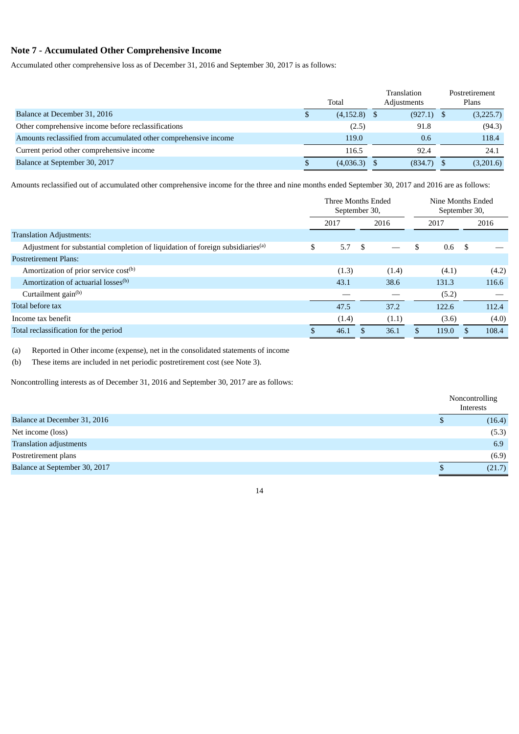# **Note 7 - Accumulated Other Comprehensive Income**

Accumulated other comprehensive loss as of December 31, 2016 and September 30, 2017 is as follows:

|                                                                  | Total |                |  | Translation<br>Adjustments | Postretirement<br>Plans |
|------------------------------------------------------------------|-------|----------------|--|----------------------------|-------------------------|
| Balance at December 31, 2016                                     | S     | $(4,152.8)$ \$ |  | $(927.1)$ \$               | (3,225.7)               |
| Other comprehensive income before reclassifications              |       | (2.5)          |  | 91.8                       | (94.3)                  |
| Amounts reclassified from accumulated other comprehensive income |       | 119.0          |  | 0.6                        | 118.4                   |
| Current period other comprehensive income                        |       | 116.5          |  | 92.4                       | 24.1                    |
| Balance at September 30, 2017                                    |       | (4,036.3)      |  | $(834.7)$ \$               | (3,201.6)               |

Amounts reclassified out of accumulated other comprehensive income for the three and nine months ended September 30, 2017 and 2016 are as follows:

|                                                                                             |      | Three Months Ended<br>September 30, |      |       | Nine Months Ended<br>September 30, |     |       |
|---------------------------------------------------------------------------------------------|------|-------------------------------------|------|-------|------------------------------------|-----|-------|
|                                                                                             | 2017 |                                     |      | 2016  | 2017                               |     | 2016  |
| <b>Translation Adjustments:</b>                                                             |      |                                     |      |       |                                    |     |       |
| Adjustment for substantial completion of liquidation of foreign subsidiaries <sup>(a)</sup> | \$   | 5.7                                 | - \$ |       | \$<br>0.6                          | -\$ |       |
| <b>Postretirement Plans:</b>                                                                |      |                                     |      |       |                                    |     |       |
| Amortization of prior service cost(b)                                                       |      | (1.3)                               |      | (1.4) | (4.1)                              |     | (4.2) |
| Amortization of actuarial losses <sup>(b)</sup>                                             |      | 43.1                                |      | 38.6  | 131.3                              |     | 116.6 |
| Curtailment gain <sup>(b)</sup>                                                             |      |                                     |      |       | (5.2)                              |     |       |
| Total before tax                                                                            |      | 47.5                                |      | 37.2  | 122.6                              |     | 112.4 |
| Income tax benefit                                                                          |      | (1.4)                               |      | (1.1) | (3.6)                              |     | (4.0) |
| Total reclassification for the period                                                       |      | 46.1                                |      | 36.1  | 119.0                              |     | 108.4 |

(a) Reported in Other income (expense), net in the consolidated statements of income

(b) These items are included in net periodic postretirement cost (see Note 3).

Noncontrolling interests as of December 31, 2016 and September 30, 2017 are as follows:

|                                |   | Noncontrolling<br>Interests |
|--------------------------------|---|-----------------------------|
| Balance at December 31, 2016   | Ф | (16.4)                      |
| Net income (loss)              |   | (5.3)                       |
| <b>Translation adjustments</b> |   | 6.9                         |
| Postretirement plans           |   | (6.9)                       |
| Balance at September 30, 2017  |   | (21.7)                      |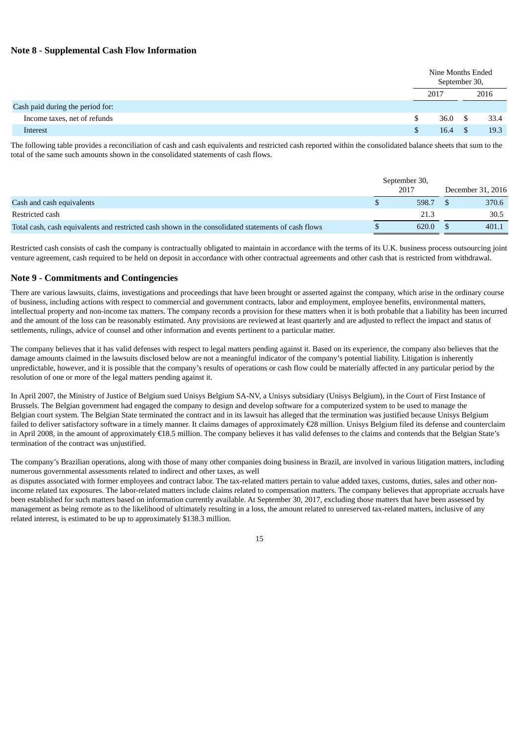## **Note 8 - Supplemental Cash Flow Information**

|                                  | Nine Months Ended<br>September 30, |      |
|----------------------------------|------------------------------------|------|
|                                  | 2017                               | 2016 |
| Cash paid during the period for: |                                    |      |
| Income taxes, net of refunds     | 36.0                               | 33.4 |
| Interest                         | 16.4                               | 19.3 |

The following table provides a reconciliation of cash and cash equivalents and restricted cash reported within the consolidated balance sheets that sum to the total of the same such amounts shown in the consolidated statements of cash flows.

|                                                                                                     | September 30, |       |  |                   |  |
|-----------------------------------------------------------------------------------------------------|---------------|-------|--|-------------------|--|
|                                                                                                     |               | 2017  |  | December 31, 2016 |  |
| Cash and cash equivalents                                                                           |               | 598.7 |  | 370.6             |  |
| Restricted cash                                                                                     |               | 21.3  |  | 30.5              |  |
| Total cash, cash equivalents and restricted cash shown in the consolidated statements of cash flows |               | 620.0 |  | 401.1             |  |

Restricted cash consists of cash the company is contractually obligated to maintain in accordance with the terms of its U.K. business process outsourcing joint venture agreement, cash required to be held on deposit in accordance with other contractual agreements and other cash that is restricted from withdrawal.

## **Note 9 - Commitments and Contingencies**

There are various lawsuits, claims, investigations and proceedings that have been brought or asserted against the company, which arise in the ordinary course of business, including actions with respect to commercial and government contracts, labor and employment, employee benefits, environmental matters, intellectual property and non-income tax matters. The company records a provision for these matters when it is both probable that a liability has been incurred and the amount of the loss can be reasonably estimated. Any provisions are reviewed at least quarterly and are adjusted to reflect the impact and status of settlements, rulings, advice of counsel and other information and events pertinent to a particular matter.

The company believes that it has valid defenses with respect to legal matters pending against it. Based on its experience, the company also believes that the damage amounts claimed in the lawsuits disclosed below are not a meaningful indicator of the company's potential liability. Litigation is inherently unpredictable, however, and it is possible that the company's results of operations or cash flow could be materially affected in any particular period by the resolution of one or more of the legal matters pending against it.

In April 2007, the Ministry of Justice of Belgium sued Unisys Belgium SA-NV, a Unisys subsidiary (Unisys Belgium), in the Court of First Instance of Brussels. The Belgian government had engaged the company to design and develop software for a computerized system to be used to manage the Belgian court system. The Belgian State terminated the contract and in its lawsuit has alleged that the termination was justified because Unisys Belgium failed to deliver satisfactory software in a timely manner. It claims damages of approximately €28 million. Unisys Belgium filed its defense and counterclaim in April 2008, in the amount of approximately €18.5 million. The company believes it has valid defenses to the claims and contends that the Belgian State's termination of the contract was unjustified.

The company's Brazilian operations, along with those of many other companies doing business in Brazil, are involved in various litigation matters, including numerous governmental assessments related to indirect and other taxes, as well

as disputes associated with former employees and contract labor. The tax-related matters pertain to value added taxes, customs, duties, sales and other nonincome related tax exposures. The labor-related matters include claims related to compensation matters. The company believes that appropriate accruals have been established for such matters based on information currently available. At September 30, 2017, excluding those matters that have been assessed by management as being remote as to the likelihood of ultimately resulting in a loss, the amount related to unreserved tax-related matters, inclusive of any related interest, is estimated to be up to approximately \$138.3 million.

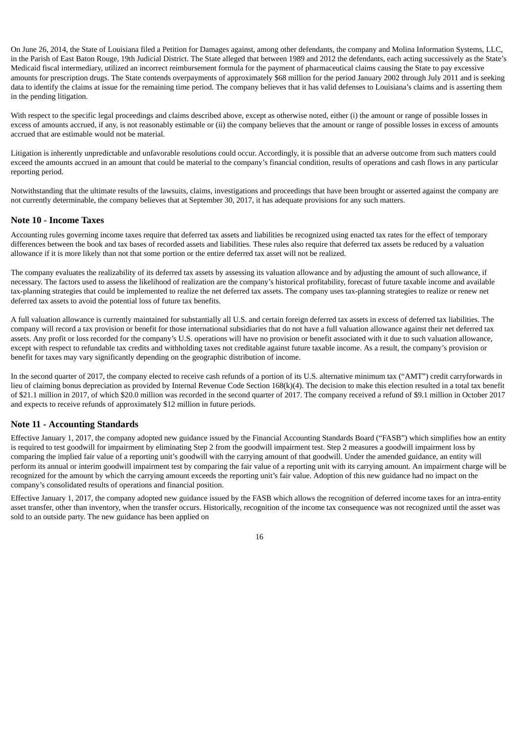On June 26, 2014, the State of Louisiana filed a Petition for Damages against, among other defendants, the company and Molina Information Systems, LLC, in the Parish of East Baton Rouge, 19th Judicial District. The State alleged that between 1989 and 2012 the defendants, each acting successively as the State's Medicaid fiscal intermediary, utilized an incorrect reimbursement formula for the payment of pharmaceutical claims causing the State to pay excessive amounts for prescription drugs. The State contends overpayments of approximately \$68 million for the period January 2002 through July 2011 and is seeking data to identify the claims at issue for the remaining time period. The company believes that it has valid defenses to Louisiana's claims and is asserting them in the pending litigation.

With respect to the specific legal proceedings and claims described above, except as otherwise noted, either (i) the amount or range of possible losses in excess of amounts accrued, if any, is not reasonably estimable or (ii) the company believes that the amount or range of possible losses in excess of amounts accrued that are estimable would not be material.

Litigation is inherently unpredictable and unfavorable resolutions could occur. Accordingly, it is possible that an adverse outcome from such matters could exceed the amounts accrued in an amount that could be material to the company's financial condition, results of operations and cash flows in any particular reporting period.

Notwithstanding that the ultimate results of the lawsuits, claims, investigations and proceedings that have been brought or asserted against the company are not currently determinable, the company believes that at September 30, 2017, it has adequate provisions for any such matters.

### **Note 10 - Income Taxes**

Accounting rules governing income taxes require that deferred tax assets and liabilities be recognized using enacted tax rates for the effect of temporary differences between the book and tax bases of recorded assets and liabilities. These rules also require that deferred tax assets be reduced by a valuation allowance if it is more likely than not that some portion or the entire deferred tax asset will not be realized.

The company evaluates the realizability of its deferred tax assets by assessing its valuation allowance and by adjusting the amount of such allowance, if necessary. The factors used to assess the likelihood of realization are the company's historical profitability, forecast of future taxable income and available tax-planning strategies that could be implemented to realize the net deferred tax assets. The company uses tax-planning strategies to realize or renew net deferred tax assets to avoid the potential loss of future tax benefits.

A full valuation allowance is currently maintained for substantially all U.S. and certain foreign deferred tax assets in excess of deferred tax liabilities. The company will record a tax provision or benefit for those international subsidiaries that do not have a full valuation allowance against their net deferred tax assets. Any profit or loss recorded for the company's U.S. operations will have no provision or benefit associated with it due to such valuation allowance, except with respect to refundable tax credits and withholding taxes not creditable against future taxable income. As a result, the company's provision or benefit for taxes may vary significantly depending on the geographic distribution of income.

In the second quarter of 2017, the company elected to receive cash refunds of a portion of its U.S. alternative minimum tax ("AMT") credit carryforwards in lieu of claiming bonus depreciation as provided by Internal Revenue Code Section 168(k)(4). The decision to make this election resulted in a total tax benefit of \$21.1 million in 2017, of which \$20.0 million was recorded in the second quarter of 2017. The company received a refund of \$9.1 million in October 2017 and expects to receive refunds of approximately \$12 million in future periods.

#### **Note 11 - Accounting Standards**

Effective January 1, 2017, the company adopted new guidance issued by the Financial Accounting Standards Board ("FASB") which simplifies how an entity is required to test goodwill for impairment by eliminating Step 2 from the goodwill impairment test. Step 2 measures a goodwill impairment loss by comparing the implied fair value of a reporting unit's goodwill with the carrying amount of that goodwill. Under the amended guidance, an entity will perform its annual or interim goodwill impairment test by comparing the fair value of a reporting unit with its carrying amount. An impairment charge will be recognized for the amount by which the carrying amount exceeds the reporting unit's fair value. Adoption of this new guidance had no impact on the company's consolidated results of operations and financial position.

Effective January 1, 2017, the company adopted new guidance issued by the FASB which allows the recognition of deferred income taxes for an intra-entity asset transfer, other than inventory, when the transfer occurs. Historically, recognition of the income tax consequence was not recognized until the asset was sold to an outside party. The new guidance has been applied on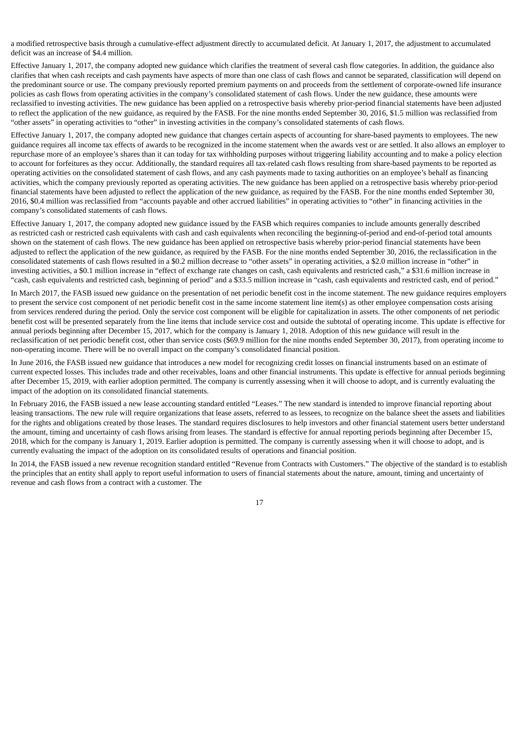a modified retrospective basis through a cumulative-effect adjustment directly to accumulated deficit. At January 1, 2017, the adjustment to accumulated deficit was an increase of \$4.4 million.

Effective January 1, 2017, the company adopted new guidance which clarifies the treatment of several cash flow categories. In addition, the guidance also clarifies that when cash receipts and cash payments have aspects of more than one class of cash flows and cannot be separated, classification will depend on the predominant source or use. The company previously reported premium payments on and proceeds from the settlement of corporate-owned life insurance policies as cash flows from operating activities in the company's consolidated statement of cash flows. Under the new guidance, these amounts were reclassified to investing activities. The new guidance has been applied on a retrospective basis whereby prior-period financial statements have been adjusted to reflect the application of the new guidance, as required by the FASB. For the nine months ended September 30, 2016, \$1.5 million was reclassified from "other assets" in operating activities to "other" in investing activities in the company's consolidated statements of cash flows.

Effective January 1, 2017, the company adopted new guidance that changes certain aspects of accounting for share-based payments to employees. The new guidance requires all income tax effects of awards to be recognized in the income statement when the awards vest or are settled. It also allows an employer to repurchase more of an employee's shares than it can today for tax withholding purposes without triggering liability accounting and to make a policy election to account for forfeitures as they occur. Additionally, the standard requires all tax-related cash flows resulting from share-based payments to be reported as operating activities on the consolidated statement of cash flows, and any cash payments made to taxing authorities on an employee's behalf as financing activities, which the company previously reported as operating activities. The new guidance has been applied on a retrospective basis whereby prior-period financial statements have been adjusted to reflect the application of the new guidance, as required by the FASB. For the nine months ended September 30, 2016, \$0.4 million was reclassified from "accounts payable and other accrued liabilities" in operating activities to "other" in financing activities in the company's consolidated statements of cash flows.

Effective January 1, 2017, the company adopted new guidance issued by the FASB which requires companies to include amounts generally described as restricted cash or restricted cash equivalents with cash and cash equivalents when reconciling the beginning-of-period and end-of-period total amounts shown on the statement of cash flows. The new guidance has been applied on retrospective basis whereby prior-period financial statements have been adjusted to reflect the application of the new guidance, as required by the FASB. For the nine months ended September 30, 2016, the reclassification in the consolidated statements of cash flows resulted in a \$0.2 million decrease to "other assets" in operating activities, a \$2.0 million increase in "other" in investing activities, a \$0.1 million increase in "effect of exchange rate changes on cash, cash equivalents and restricted cash," a \$31.6 million increase in "cash, cash equivalents and restricted cash, beginning of period" and a \$33.5 million increase in "cash, cash equivalents and restricted cash, end of period."

In March 2017, the FASB issued new guidance on the presentation of net periodic benefit cost in the income statement. The new guidance requires employers to present the service cost component of net periodic benefit cost in the same income statement line item(s) as other employee compensation costs arising from services rendered during the period. Only the service cost component will be eligible for capitalization in assets. The other components of net periodic benefit cost will be presented separately from the line items that include service cost and outside the subtotal of operating income. This update is effective for annual periods beginning after December 15, 2017, which for the company is January 1, 2018. Adoption of this new guidance will result in the reclassification of net periodic benefit cost, other than service costs (\$69.9 million for the nine months ended September 30, 2017), from operating income to non-operating income. There will be no overall impact on the company's consolidated financial position.

In June 2016, the FASB issued new guidance that introduces a new model for recognizing credit losses on financial instruments based on an estimate of current expected losses. This includes trade and other receivables, loans and other financial instruments. This update is effective for annual periods beginning after December 15, 2019, with earlier adoption permitted. The company is currently assessing when it will choose to adopt, and is currently evaluating the impact of the adoption on its consolidated financial statements.

In February 2016, the FASB issued a new lease accounting standard entitled "Leases." The new standard is intended to improve financial reporting about leasing transactions. The new rule will require organizations that lease assets, referred to as lessees, to recognize on the balance sheet the assets and liabilities for the rights and obligations created by those leases. The standard requires disclosures to help investors and other financial statement users better understand the amount, timing and uncertainty of cash flows arising from leases. The standard is effective for annual reporting periods beginning after December 15, 2018, which for the company is January 1, 2019. Earlier adoption is permitted. The company is currently assessing when it will choose to adopt, and is currently evaluating the impact of the adoption on its consolidated results of operations and financial position.

In 2014, the FASB issued a new revenue recognition standard entitled "Revenue from Contracts with Customers." The objective of the standard is to establish the principles that an entity shall apply to report useful information to users of financial statements about the nature, amount, timing and uncertainty of revenue and cash flows from a contract with a customer. The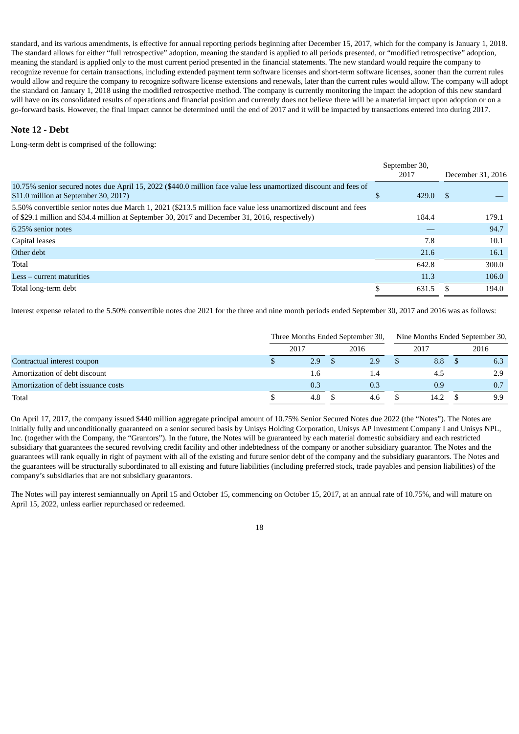standard, and its various amendments, is effective for annual reporting periods beginning after December 15, 2017, which for the company is January 1, 2018. The standard allows for either "full retrospective" adoption, meaning the standard is applied to all periods presented, or "modified retrospective" adoption, meaning the standard is applied only to the most current period presented in the financial statements. The new standard would require the company to recognize revenue for certain transactions, including extended payment term software licenses and short-term software licenses, sooner than the current rules would allow and require the company to recognize software license extensions and renewals, later than the current rules would allow. The company will adopt the standard on January 1, 2018 using the modified retrospective method. The company is currently monitoring the impact the adoption of this new standard will have on its consolidated results of operations and financial position and currently does not believe there will be a material impact upon adoption or on a go-forward basis. However, the final impact cannot be determined until the end of 2017 and it will be impacted by transactions entered into during 2017.

## **Note 12 - Debt**

Long-term debt is comprised of the following:

|                                                                                                                                                                                                                    | September 30, |    |                   |
|--------------------------------------------------------------------------------------------------------------------------------------------------------------------------------------------------------------------|---------------|----|-------------------|
|                                                                                                                                                                                                                    | 2017          |    | December 31, 2016 |
| 10.75% senior secured notes due April 15, 2022 (\$440.0 million face value less unamortized discount and fees of<br>\$11.0 million at September 30, 2017)                                                          | 429.0         | -S |                   |
| 5.50% convertible senior notes due March 1, 2021 (\$213.5 million face value less unamortized discount and fees<br>of \$29.1 million and \$34.4 million at September 30, 2017 and December 31, 2016, respectively) | 184.4         |    | 179.1             |
| 6.25% senior notes                                                                                                                                                                                                 |               |    | 94.7              |
| Capital leases                                                                                                                                                                                                     | 7.8           |    | 10.1              |
| Other debt                                                                                                                                                                                                         | 21.6          |    | 16.1              |
| Total                                                                                                                                                                                                              | 642.8         |    | 300.0             |
| $Less - current$ maturities                                                                                                                                                                                        | 11.3          |    | 106.0             |
| Total long-term debt                                                                                                                                                                                               | 631.5         |    | 194.0             |

Interest expense related to the 5.50% convertible notes due 2021 for the three and nine month periods ended September 30, 2017 and 2016 was as follows:

|                                     | Three Months Ended September 30, |                  |      |     |      |      |  | Nine Months Ended September 30, |
|-------------------------------------|----------------------------------|------------------|------|-----|------|------|--|---------------------------------|
| 2017<br>2016                        |                                  |                  | 2017 |     | 2016 |      |  |                                 |
| Contractual interest coupon         |                                  | 2.9 <sub>l</sub> |      | 2.9 |      | 8.8  |  | 6.3                             |
| Amortization of debt discount       |                                  | 1.6              |      | 1.4 |      | 4.5  |  | 2.9                             |
| Amortization of debt issuance costs |                                  | 0.3              |      | 0.3 |      | 0.9  |  | 0.7                             |
| Total                               |                                  | 4.8              |      | 4.6 |      | 14.2 |  | 9.9                             |

On April 17, 2017, the company issued \$440 million aggregate principal amount of 10.75% Senior Secured Notes due 2022 (the "Notes"). The Notes are initially fully and unconditionally guaranteed on a senior secured basis by Unisys Holding Corporation, Unisys AP Investment Company I and Unisys NPL, Inc. (together with the Company, the "Grantors"). In the future, the Notes will be guaranteed by each material domestic subsidiary and each restricted subsidiary that guarantees the secured revolving credit facility and other indebtedness of the company or another subsidiary guarantor. The Notes and the guarantees will rank equally in right of payment with all of the existing and future senior debt of the company and the subsidiary guarantors. The Notes and the guarantees will be structurally subordinated to all existing and future liabilities (including preferred stock, trade payables and pension liabilities) of the company's subsidiaries that are not subsidiary guarantors.

The Notes will pay interest semiannually on April 15 and October 15, commencing on October 15, 2017, at an annual rate of 10.75%, and will mature on April 15, 2022, unless earlier repurchased or redeemed.

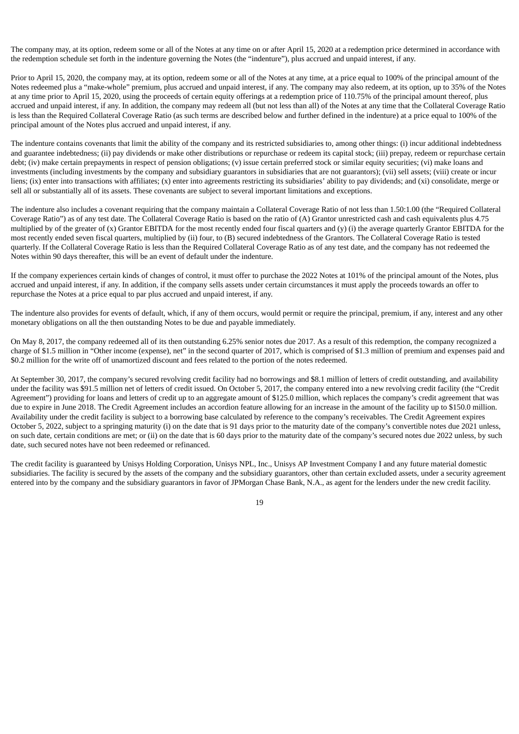The company may, at its option, redeem some or all of the Notes at any time on or after April 15, 2020 at a redemption price determined in accordance with the redemption schedule set forth in the indenture governing the Notes (the "indenture"), plus accrued and unpaid interest, if any.

Prior to April 15, 2020, the company may, at its option, redeem some or all of the Notes at any time, at a price equal to 100% of the principal amount of the Notes redeemed plus a "make-whole" premium, plus accrued and unpaid interest, if any. The company may also redeem, at its option, up to 35% of the Notes at any time prior to April 15, 2020, using the proceeds of certain equity offerings at a redemption price of 110.75% of the principal amount thereof, plus accrued and unpaid interest, if any. In addition, the company may redeem all (but not less than all) of the Notes at any time that the Collateral Coverage Ratio is less than the Required Collateral Coverage Ratio (as such terms are described below and further defined in the indenture) at a price equal to 100% of the principal amount of the Notes plus accrued and unpaid interest, if any.

The indenture contains covenants that limit the ability of the company and its restricted subsidiaries to, among other things: (i) incur additional indebtedness and guarantee indebtedness; (ii) pay dividends or make other distributions or repurchase or redeem its capital stock; (iii) prepay, redeem or repurchase certain debt; (iv) make certain prepayments in respect of pension obligations; (v) issue certain preferred stock or similar equity securities; (vi) make loans and investments (including investments by the company and subsidiary guarantors in subsidiaries that are not guarantors); (vii) sell assets; (viii) create or incur liens; (ix) enter into transactions with affiliates; (x) enter into agreements restricting its subsidiaries' ability to pay dividends; and (xi) consolidate, merge or sell all or substantially all of its assets. These covenants are subject to several important limitations and exceptions.

The indenture also includes a covenant requiring that the company maintain a Collateral Coverage Ratio of not less than 1.50:1.00 (the "Required Collateral Coverage Ratio") as of any test date. The Collateral Coverage Ratio is based on the ratio of (A) Grantor unrestricted cash and cash equivalents plus 4.75 multiplied by of the greater of  $(x)$  Grantor EBITDA for the most recently ended four fiscal quarters and  $(y)$  (i) the average quarterly Grantor EBITDA for the most recently ended seven fiscal quarters, multiplied by (ii) four, to (B) secured indebtedness of the Grantors. The Collateral Coverage Ratio is tested quarterly. If the Collateral Coverage Ratio is less than the Required Collateral Coverage Ratio as of any test date, and the company has not redeemed the Notes within 90 days thereafter, this will be an event of default under the indenture.

If the company experiences certain kinds of changes of control, it must offer to purchase the 2022 Notes at 101% of the principal amount of the Notes, plus accrued and unpaid interest, if any. In addition, if the company sells assets under certain circumstances it must apply the proceeds towards an offer to repurchase the Notes at a price equal to par plus accrued and unpaid interest, if any.

The indenture also provides for events of default, which, if any of them occurs, would permit or require the principal, premium, if any, interest and any other monetary obligations on all the then outstanding Notes to be due and payable immediately.

On May 8, 2017, the company redeemed all of its then outstanding 6.25% senior notes due 2017. As a result of this redemption, the company recognized a charge of \$1.5 million in "Other income (expense), net" in the second quarter of 2017, which is comprised of \$1.3 million of premium and expenses paid and \$0.2 million for the write off of unamortized discount and fees related to the portion of the notes redeemed.

At September 30, 2017, the company's secured revolving credit facility had no borrowings and \$8.1 million of letters of credit outstanding, and availability under the facility was \$91.5 million net of letters of credit issued. On October 5, 2017, the company entered into a new revolving credit facility (the "Credit Agreement") providing for loans and letters of credit up to an aggregate amount of \$125.0 million, which replaces the company's credit agreement that was due to expire in June 2018. The Credit Agreement includes an accordion feature allowing for an increase in the amount of the facility up to \$150.0 million. Availability under the credit facility is subject to a borrowing base calculated by reference to the company's receivables. The Credit Agreement expires October 5, 2022, subject to a springing maturity (i) on the date that is 91 days prior to the maturity date of the company's convertible notes due 2021 unless, on such date, certain conditions are met; or (ii) on the date that is 60 days prior to the maturity date of the company's secured notes due 2022 unless, by such date, such secured notes have not been redeemed or refinanced.

The credit facility is guaranteed by Unisys Holding Corporation, Unisys NPL, Inc., Unisys AP Investment Company I and any future material domestic subsidiaries. The facility is secured by the assets of the company and the subsidiary guarantors, other than certain excluded assets, under a security agreement entered into by the company and the subsidiary guarantors in favor of JPMorgan Chase Bank, N.A., as agent for the lenders under the new credit facility.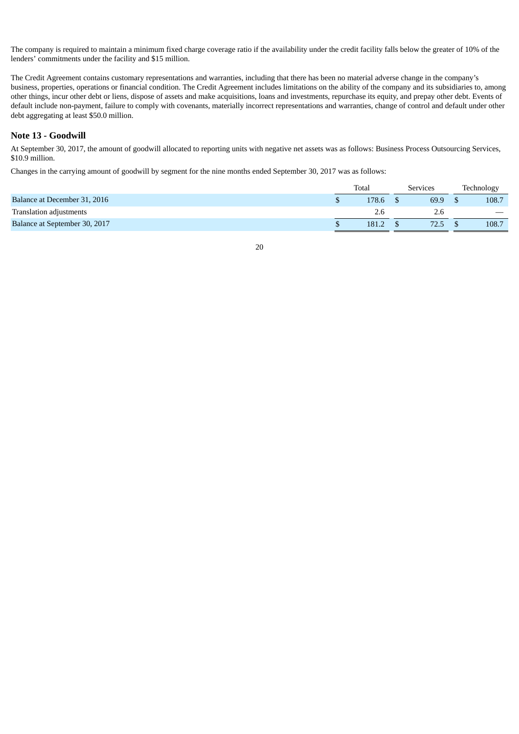The company is required to maintain a minimum fixed charge coverage ratio if the availability under the credit facility falls below the greater of 10% of the lenders' commitments under the facility and \$15 million.

The Credit Agreement contains customary representations and warranties, including that there has been no material adverse change in the company's business, properties, operations or financial condition. The Credit Agreement includes limitations on the ability of the company and its subsidiaries to, among other things, incur other debt or liens, dispose of assets and make acquisitions, loans and investments, repurchase its equity, and prepay other debt. Events of default include non-payment, failure to comply with covenants, materially incorrect representations and warranties, change of control and default under other debt aggregating at least \$50.0 million.

## **Note 13 - Goodwill**

At September 30, 2017, the amount of goodwill allocated to reporting units with negative net assets was as follows: Business Process Outsourcing Services, \$10.9 million.

Changes in the carrying amount of goodwill by segment for the nine months ended September 30, 2017 was as follows:

|                               | Total |       | <b>Services</b> |      | Technology |                          |
|-------------------------------|-------|-------|-----------------|------|------------|--------------------------|
| Balance at December 31, 2016  |       | 178.6 |                 | 69.9 |            | 108.7                    |
| Translation adjustments       |       |       |                 | 2.6  |            | $\overline{\phantom{a}}$ |
| Balance at September 30, 2017 |       | 181.2 |                 | 72.5 |            | 108.7                    |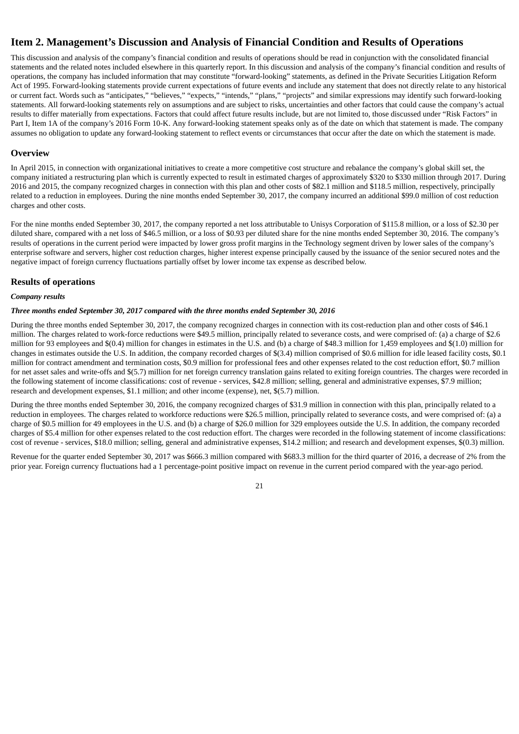# <span id="page-21-0"></span>**Item 2. Management's Discussion and Analysis of Financial Condition and Results of Operations**

This discussion and analysis of the company's financial condition and results of operations should be read in conjunction with the consolidated financial statements and the related notes included elsewhere in this quarterly report. In this discussion and analysis of the company's financial condition and results of operations, the company has included information that may constitute "forward-looking" statements, as defined in the Private Securities Litigation Reform Act of 1995. Forward-looking statements provide current expectations of future events and include any statement that does not directly relate to any historical or current fact. Words such as "anticipates," "believes," "expects," "intends," "plans," "projects" and similar expressions may identify such forward-looking statements. All forward-looking statements rely on assumptions and are subject to risks, uncertainties and other factors that could cause the company's actual results to differ materially from expectations. Factors that could affect future results include, but are not limited to, those discussed under "Risk Factors" in Part I, Item 1A of the company's 2016 Form 10-K. Any forward-looking statement speaks only as of the date on which that statement is made. The company assumes no obligation to update any forward-looking statement to reflect events or circumstances that occur after the date on which the statement is made.

### **Overview**

In April 2015, in connection with organizational initiatives to create a more competitive cost structure and rebalance the company's global skill set, the company initiated a restructuring plan which is currently expected to result in estimated charges of approximately \$320 to \$330 million through 2017. During 2016 and 2015, the company recognized charges in connection with this plan and other costs of \$82.1 million and \$118.5 million, respectively, principally related to a reduction in employees. During the nine months ended September 30, 2017, the company incurred an additional \$99.0 million of cost reduction charges and other costs.

For the nine months ended September 30, 2017, the company reported a net loss attributable to Unisys Corporation of \$115.8 million, or a loss of \$2.30 per diluted share, compared with a net loss of \$46.5 million, or a loss of \$0.93 per diluted share for the nine months ended September 30, 2016. The company's results of operations in the current period were impacted by lower gross profit margins in the Technology segment driven by lower sales of the company's enterprise software and servers, higher cost reduction charges, higher interest expense principally caused by the issuance of the senior secured notes and the negative impact of foreign currency fluctuations partially offset by lower income tax expense as described below.

#### **Results of operations**

#### *Company results*

#### *Three months ended September 30, 2017 compared with the three months ended September 30, 2016*

During the three months ended September 30, 2017, the company recognized charges in connection with its cost-reduction plan and other costs of \$46.1 million. The charges related to work-force reductions were \$49.5 million, principally related to severance costs, and were comprised of: (a) a charge of \$2.6 million for 93 employees and \$(0.4) million for changes in estimates in the U.S. and (b) a charge of \$48.3 million for 1,459 employees and \$(1.0) million for changes in estimates outside the U.S. In addition, the company recorded charges of \$(3.4) million comprised of \$0.6 million for idle leased facility costs, \$0.1 million for contract amendment and termination costs, \$0.9 million for professional fees and other expenses related to the cost reduction effort, \$0.7 million for net asset sales and write-offs and \$(5.7) million for net foreign currency translation gains related to exiting foreign countries. The charges were recorded in the following statement of income classifications: cost of revenue - services, \$42.8 million; selling, general and administrative expenses, \$7.9 million; research and development expenses, \$1.1 million; and other income (expense), net, \$(5.7) million.

During the three months ended September 30, 2016, the company recognized charges of \$31.9 million in connection with this plan, principally related to a reduction in employees. The charges related to workforce reductions were \$26.5 million, principally related to severance costs, and were comprised of: (a) a charge of \$0.5 million for 49 employees in the U.S. and (b) a charge of \$26.0 million for 329 employees outside the U.S. In addition, the company recorded charges of \$5.4 million for other expenses related to the cost reduction effort. The charges were recorded in the following statement of income classifications: cost of revenue - services, \$18.0 million; selling, general and administrative expenses, \$14.2 million; and research and development expenses, \$(0.3) million.

Revenue for the quarter ended September 30, 2017 was \$666.3 million compared with \$683.3 million for the third quarter of 2016, a decrease of 2% from the prior year. Foreign currency fluctuations had a 1 percentage-point positive impact on revenue in the current period compared with the year-ago period.

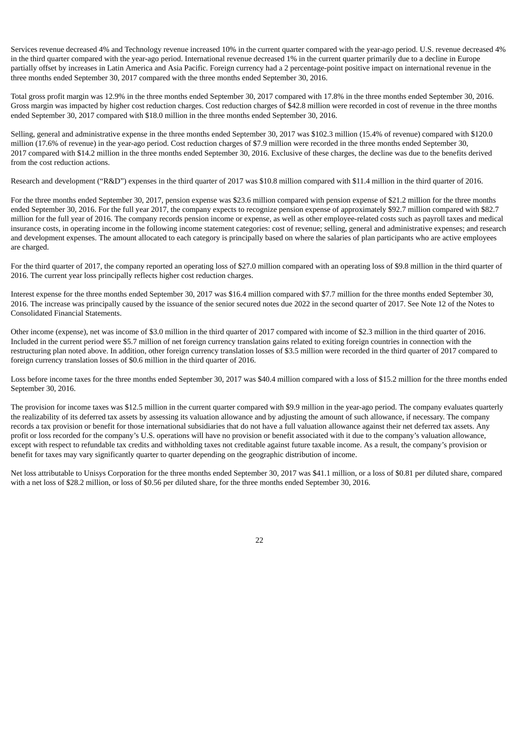Services revenue decreased 4% and Technology revenue increased 10% in the current quarter compared with the year-ago period. U.S. revenue decreased 4% in the third quarter compared with the year-ago period. International revenue decreased 1% in the current quarter primarily due to a decline in Europe partially offset by increases in Latin America and Asia Pacific. Foreign currency had a 2 percentage-point positive impact on international revenue in the three months ended September 30, 2017 compared with the three months ended September 30, 2016.

Total gross profit margin was 12.9% in the three months ended September 30, 2017 compared with 17.8% in the three months ended September 30, 2016. Gross margin was impacted by higher cost reduction charges. Cost reduction charges of \$42.8 million were recorded in cost of revenue in the three months ended September 30, 2017 compared with \$18.0 million in the three months ended September 30, 2016.

Selling, general and administrative expense in the three months ended September 30, 2017 was \$102.3 million (15.4% of revenue) compared with \$120.0 million (17.6% of revenue) in the year-ago period. Cost reduction charges of \$7.9 million were recorded in the three months ended September 30, 2017 compared with \$14.2 million in the three months ended September 30, 2016. Exclusive of these charges, the decline was due to the benefits derived from the cost reduction actions.

Research and development ("R&D") expenses in the third quarter of 2017 was \$10.8 million compared with \$11.4 million in the third quarter of 2016.

For the three months ended September 30, 2017, pension expense was \$23.6 million compared with pension expense of \$21.2 million for the three months ended September 30, 2016. For the full year 2017, the company expects to recognize pension expense of approximately \$92.7 million compared with \$82.7 million for the full year of 2016. The company records pension income or expense, as well as other employee-related costs such as payroll taxes and medical insurance costs, in operating income in the following income statement categories: cost of revenue; selling, general and administrative expenses; and research and development expenses. The amount allocated to each category is principally based on where the salaries of plan participants who are active employees are charged.

For the third quarter of 2017, the company reported an operating loss of \$27.0 million compared with an operating loss of \$9.8 million in the third quarter of 2016. The current year loss principally reflects higher cost reduction charges.

Interest expense for the three months ended September 30, 2017 was \$16.4 million compared with \$7.7 million for the three months ended September 30, 2016. The increase was principally caused by the issuance of the senior secured notes due 2022 in the second quarter of 2017. See Note 12 of the Notes to Consolidated Financial Statements.

Other income (expense), net was income of \$3.0 million in the third quarter of 2017 compared with income of \$2.3 million in the third quarter of 2016. Included in the current period were \$5.7 million of net foreign currency translation gains related to exiting foreign countries in connection with the restructuring plan noted above. In addition, other foreign currency translation losses of \$3.5 million were recorded in the third quarter of 2017 compared to foreign currency translation losses of \$0.6 million in the third quarter of 2016.

Loss before income taxes for the three months ended September 30, 2017 was \$40.4 million compared with a loss of \$15.2 million for the three months ended September 30, 2016.

The provision for income taxes was \$12.5 million in the current quarter compared with \$9.9 million in the year-ago period. The company evaluates quarterly the realizability of its deferred tax assets by assessing its valuation allowance and by adjusting the amount of such allowance, if necessary. The company records a tax provision or benefit for those international subsidiaries that do not have a full valuation allowance against their net deferred tax assets. Any profit or loss recorded for the company's U.S. operations will have no provision or benefit associated with it due to the company's valuation allowance, except with respect to refundable tax credits and withholding taxes not creditable against future taxable income. As a result, the company's provision or benefit for taxes may vary significantly quarter to quarter depending on the geographic distribution of income.

Net loss attributable to Unisys Corporation for the three months ended September 30, 2017 was \$41.1 million, or a loss of \$0.81 per diluted share, compared with a net loss of \$28.2 million, or loss of \$0.56 per diluted share, for the three months ended September 30, 2016.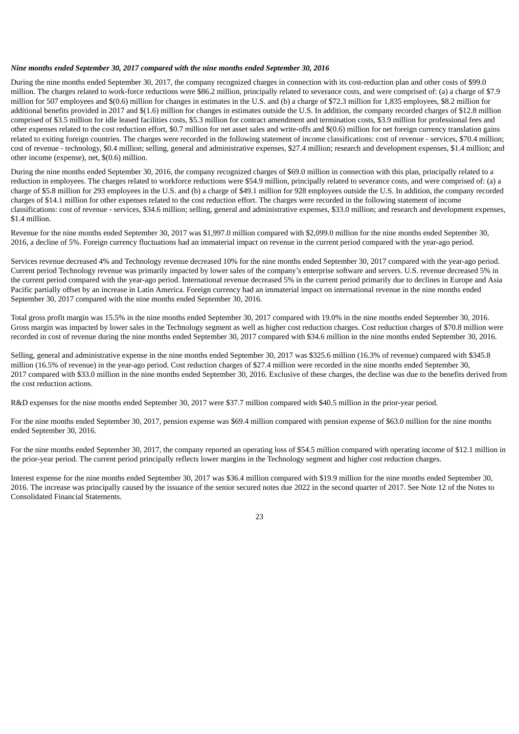#### *Nine months ended September 30, 2017 compared with the nine months ended September 30, 2016*

During the nine months ended September 30, 2017, the company recognized charges in connection with its cost-reduction plan and other costs of \$99.0 million. The charges related to work-force reductions were \$86.2 million, principally related to severance costs, and were comprised of: (a) a charge of \$7.9 million for 507 employees and \$(0.6) million for changes in estimates in the U.S. and (b) a charge of \$72.3 million for 1,835 employees, \$8.2 million for additional benefits provided in 2017 and \$(1.6) million for changes in estimates outside the U.S. In addition, the company recorded charges of \$12.8 million comprised of \$3.5 million for idle leased facilities costs, \$5.3 million for contract amendment and termination costs, \$3.9 million for professional fees and other expenses related to the cost reduction effort, \$0.7 million for net asset sales and write-offs and \$(0.6) million for net foreign currency translation gains related to exiting foreign countries. The charges were recorded in the following statement of income classifications: cost of revenue - services, \$70.4 million; cost of revenue - technology, \$0.4 million; selling, general and administrative expenses, \$27.4 million; research and development expenses, \$1.4 million; and other income (expense), net, \$(0.6) million.

During the nine months ended September 30, 2016, the company recognized charges of \$69.0 million in connection with this plan, principally related to a reduction in employees. The charges related to workforce reductions were \$54.9 million, principally related to severance costs, and were comprised of: (a) a charge of \$5.8 million for 293 employees in the U.S. and (b) a charge of \$49.1 million for 928 employees outside the U.S. In addition, the company recorded charges of \$14.1 million for other expenses related to the cost reduction effort. The charges were recorded in the following statement of income classifications: cost of revenue - services, \$34.6 million; selling, general and administrative expenses, \$33.0 million; and research and development expenses,  $$1.4$  million.

Revenue for the nine months ended September 30, 2017 was \$1,997.0 million compared with \$2,099.0 million for the nine months ended September 30, 2016, a decline of 5%. Foreign currency fluctuations had an immaterial impact on revenue in the current period compared with the year-ago period.

Services revenue decreased 4% and Technology revenue decreased 10% for the nine months ended September 30, 2017 compared with the year-ago period. Current period Technology revenue was primarily impacted by lower sales of the company's enterprise software and servers. U.S. revenue decreased 5% in the current period compared with the year-ago period. International revenue decreased 5% in the current period primarily due to declines in Europe and Asia Pacific partially offset by an increase in Latin America. Foreign currency had an immaterial impact on international revenue in the nine months ended September 30, 2017 compared with the nine months ended September 30, 2016.

Total gross profit margin was 15.5% in the nine months ended September 30, 2017 compared with 19.0% in the nine months ended September 30, 2016. Gross margin was impacted by lower sales in the Technology segment as well as higher cost reduction charges. Cost reduction charges of \$70.8 million were recorded in cost of revenue during the nine months ended September 30, 2017 compared with \$34.6 million in the nine months ended September 30, 2016.

Selling, general and administrative expense in the nine months ended September 30, 2017 was \$325.6 million (16.3% of revenue) compared with \$345.8 million (16.5% of revenue) in the year-ago period. Cost reduction charges of \$27.4 million were recorded in the nine months ended September 30, 2017 compared with \$33.0 million in the nine months ended September 30, 2016. Exclusive of these charges, the decline was due to the benefits derived from the cost reduction actions.

R&D expenses for the nine months ended September 30, 2017 were \$37.7 million compared with \$40.5 million in the prior-year period.

For the nine months ended September 30, 2017, pension expense was \$69.4 million compared with pension expense of \$63.0 million for the nine months ended September 30, 2016.

For the nine months ended September 30, 2017, the company reported an operating loss of \$54.5 million compared with operating income of \$12.1 million in the prior-year period. The current period principally reflects lower margins in the Technology segment and higher cost reduction charges.

Interest expense for the nine months ended September 30, 2017 was \$36.4 million compared with \$19.9 million for the nine months ended September 30, 2016. The increase was principally caused by the issuance of the senior secured notes due 2022 in the second quarter of 2017. See Note 12 of the Notes to Consolidated Financial Statements.

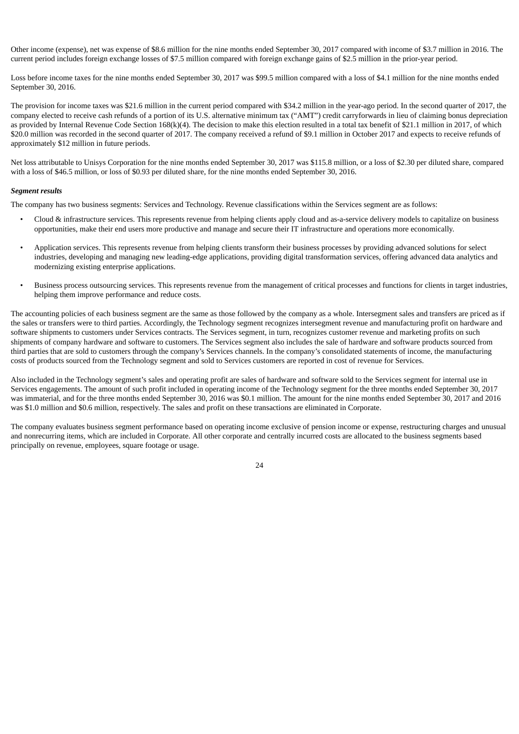Other income (expense), net was expense of \$8.6 million for the nine months ended September 30, 2017 compared with income of \$3.7 million in 2016. The current period includes foreign exchange losses of \$7.5 million compared with foreign exchange gains of \$2.5 million in the prior-year period.

Loss before income taxes for the nine months ended September 30, 2017 was \$99.5 million compared with a loss of \$4.1 million for the nine months ended September 30, 2016.

The provision for income taxes was \$21.6 million in the current period compared with \$34.2 million in the year-ago period. In the second quarter of 2017, the company elected to receive cash refunds of a portion of its U.S. alternative minimum tax ("AMT") credit carryforwards in lieu of claiming bonus depreciation as provided by Internal Revenue Code Section 168(k)(4). The decision to make this election resulted in a total tax benefit of \$21.1 million in 2017, of which \$20.0 million was recorded in the second quarter of 2017. The company received a refund of \$9.1 million in October 2017 and expects to receive refunds of approximately \$12 million in future periods.

Net loss attributable to Unisys Corporation for the nine months ended September 30, 2017 was \$115.8 million, or a loss of \$2.30 per diluted share, compared with a loss of \$46.5 million, or loss of \$0.93 per diluted share, for the nine months ended September 30, 2016.

#### *Segment results*

The company has two business segments: Services and Technology. Revenue classifications within the Services segment are as follows:

- Cloud & infrastructure services. This represents revenue from helping clients apply cloud and as-a-service delivery models to capitalize on business opportunities, make their end users more productive and manage and secure their IT infrastructure and operations more economically.
- Application services. This represents revenue from helping clients transform their business processes by providing advanced solutions for select industries, developing and managing new leading-edge applications, providing digital transformation services, offering advanced data analytics and modernizing existing enterprise applications.
- Business process outsourcing services. This represents revenue from the management of critical processes and functions for clients in target industries, helping them improve performance and reduce costs.

The accounting policies of each business segment are the same as those followed by the company as a whole. Intersegment sales and transfers are priced as if the sales or transfers were to third parties. Accordingly, the Technology segment recognizes intersegment revenue and manufacturing profit on hardware and software shipments to customers under Services contracts. The Services segment, in turn, recognizes customer revenue and marketing profits on such shipments of company hardware and software to customers. The Services segment also includes the sale of hardware and software products sourced from third parties that are sold to customers through the company's Services channels. In the company's consolidated statements of income, the manufacturing costs of products sourced from the Technology segment and sold to Services customers are reported in cost of revenue for Services.

Also included in the Technology segment's sales and operating profit are sales of hardware and software sold to the Services segment for internal use in Services engagements. The amount of such profit included in operating income of the Technology segment for the three months ended September 30, 2017 was immaterial, and for the three months ended September 30, 2016 was \$0.1 million. The amount for the nine months ended September 30, 2017 and 2016 was \$1.0 million and \$0.6 million, respectively. The sales and profit on these transactions are eliminated in Corporate.

The company evaluates business segment performance based on operating income exclusive of pension income or expense, restructuring charges and unusual and nonrecurring items, which are included in Corporate. All other corporate and centrally incurred costs are allocated to the business segments based principally on revenue, employees, square footage or usage.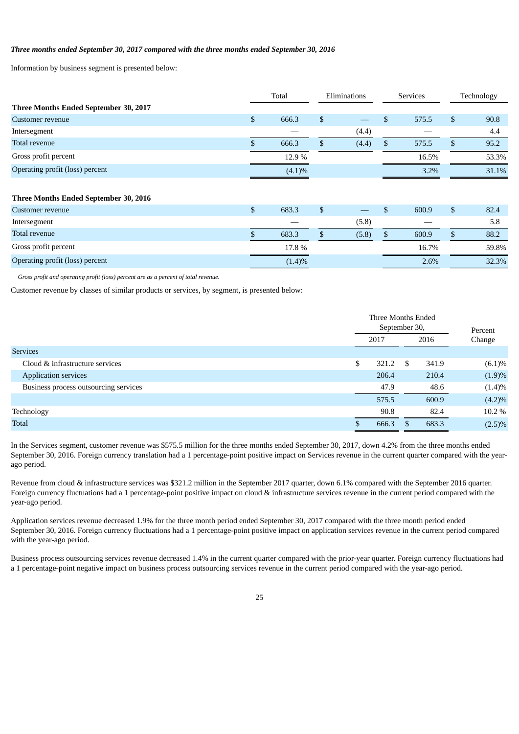#### *Three months ended September 30, 2017 compared with the three months ended September 30, 2016*

Information by business segment is presented below:

|                                       |     | Total     | Eliminations  |       | <b>Services</b> |       | Technology |
|---------------------------------------|-----|-----------|---------------|-------|-----------------|-------|------------|
| Three Months Ended September 30, 2017 |     |           |               |       |                 |       |            |
| Customer revenue                      | \$  | 666.3     | \$            |       | \$              | 575.5 | \$<br>90.8 |
| Intersegment                          |     |           |               | (4.4) |                 |       | 4.4        |
| Total revenue                         | \$. | 666.3     | $\mathcal{S}$ | (4.4) | \$              | 575.5 | \$<br>95.2 |
| Gross profit percent                  |     | 12.9%     |               |       |                 | 16.5% | 53.3%      |
| Operating profit (loss) percent       |     | $(4.1)\%$ |               |       |                 | 3.2%  | 31.1%      |
|                                       |     |           |               |       |                 |       |            |
| Three Months Ended September 30, 2016 |     |           |               |       |                 |       |            |
| Customer revenue                      | \$  | 683.3     | $\mathbb{S}$  |       | $\mathbf{s}$    | 600.9 | \$<br>82.4 |
| Intersegment                          |     |           |               | (5.8) |                 |       | 5.8        |
| Total revenue                         | \$  | 683.3     | \$.           | (5.8) | <sup>\$</sup>   | 600.9 | \$<br>88.2 |
| Gross profit percent                  |     | 17.8%     |               |       |                 | 16.7% | 59.8%      |

Operating profit (loss) percent (1.4)% 2.6% 32.3%

*Gross profit and operating profit (loss) percent are as a percent of total revenue.*

Customer revenue by classes of similar products or services, by segment, is presented below:

|                                       | Three Months Ended<br>September 30, | Percent |       |           |
|---------------------------------------|-------------------------------------|---------|-------|-----------|
|                                       | 2017                                |         | 2016  | Change    |
| <b>Services</b>                       |                                     |         |       |           |
| Cloud & infrastructure services       | \$<br>321.2                         | -S      | 341.9 | (6.1)%    |
| <b>Application services</b>           | 206.4                               |         | 210.4 | (1.9)%    |
| Business process outsourcing services | 47.9                                |         | 48.6  | $(1.4)\%$ |
|                                       | 575.5                               |         | 600.9 | $(4.2)\%$ |
| Technology                            | 90.8                                |         | 82.4  | 10.2 %    |
| <b>Total</b>                          | 666.3                               | \$.     | 683.3 | $(2.5)\%$ |

In the Services segment, customer revenue was \$575.5 million for the three months ended September 30, 2017, down 4.2% from the three months ended September 30, 2016. Foreign currency translation had a 1 percentage-point positive impact on Services revenue in the current quarter compared with the yearago period.

Revenue from cloud & infrastructure services was \$321.2 million in the September 2017 quarter, down 6.1% compared with the September 2016 quarter. Foreign currency fluctuations had a 1 percentage-point positive impact on cloud & infrastructure services revenue in the current period compared with the year-ago period.

Application services revenue decreased 1.9% for the three month period ended September 30, 2017 compared with the three month period ended September 30, 2016. Foreign currency fluctuations had a 1 percentage-point positive impact on application services revenue in the current period compared with the year-ago period.

Business process outsourcing services revenue decreased 1.4% in the current quarter compared with the prior-year quarter. Foreign currency fluctuations had a 1 percentage-point negative impact on business process outsourcing services revenue in the current period compared with the year-ago period.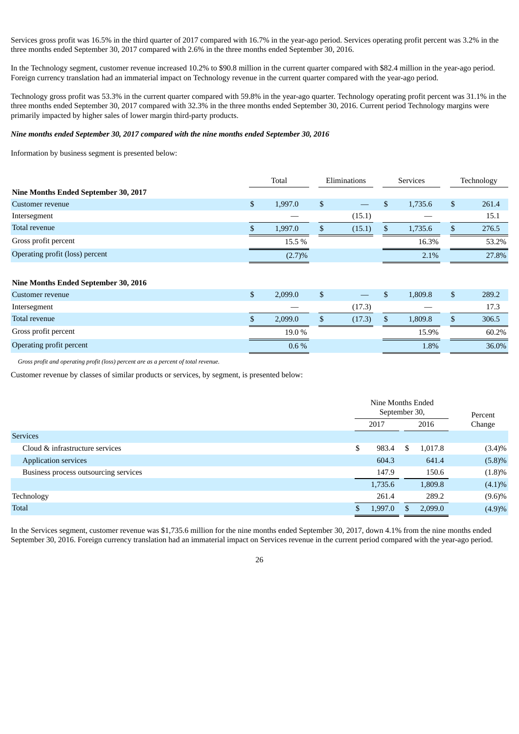Services gross profit was 16.5% in the third quarter of 2017 compared with 16.7% in the year-ago period. Services operating profit percent was 3.2% in the three months ended September 30, 2017 compared with 2.6% in the three months ended September 30, 2016.

In the Technology segment, customer revenue increased 10.2% to \$90.8 million in the current quarter compared with \$82.4 million in the year-ago period. Foreign currency translation had an immaterial impact on Technology revenue in the current quarter compared with the year-ago period.

Technology gross profit was 53.3% in the current quarter compared with 59.8% in the year-ago quarter. Technology operating profit percent was 31.1% in the three months ended September 30, 2017 compared with 32.3% in the three months ended September 30, 2016. Current period Technology margins were primarily impacted by higher sales of lower margin third-party products.

#### *Nine months ended September 30, 2017 compared with the nine months ended September 30, 2016*

Information by business segment is presented below:

|                                      | Total<br>Eliminations<br><b>Services</b> |        |        |    |         |    |       |  |  | Technology |  |
|--------------------------------------|------------------------------------------|--------|--------|----|---------|----|-------|--|--|------------|--|
| Nine Months Ended September 30, 2017 |                                          |        |        |    |         |    |       |  |  |            |  |
| Customer revenue                     | \$<br>1,997.0                            | \$     |        | \$ | 1,735.6 | \$ | 261.4 |  |  |            |  |
| Intersegment                         |                                          |        | (15.1) |    |         |    | 15.1  |  |  |            |  |
| Total revenue                        | 1,997.0                                  | (15.1) |        | \$ | 1,735.6 | .S | 276.5 |  |  |            |  |
| Gross profit percent                 | 15.5 %                                   |        | 16.3%  |    |         |    | 53.2% |  |  |            |  |
| Operating profit (loss) percent      | $(2.7)\%$                                |        |        |    | 2.1%    |    | 27.8% |  |  |            |  |
|                                      |                                          |        |        |    |         |    |       |  |  |            |  |
| Nine Months Ended September 30, 2016 |                                          |        |        |    |         |    |       |  |  |            |  |

| Customer revenue         | 2,099.0 |        | 1,809.8       | \$ | 289.2 |
|--------------------------|---------|--------|---------------|----|-------|
| Intersegment             |         | (17.3) |               |    | 17.3  |
| Total revenue            | 2,099.0 | (17.3) | \$<br>1,809.8 | Ъ  | 306.5 |
| Gross profit percent     | 19.0 %  |        | 15.9%         |    | 60.2% |
| Operating profit percent | $0.6\%$ |        | $1.8\%$       |    | 36.0% |

*Gross profit and operating profit (loss) percent are as a percent of total revenue.*

Customer revenue by classes of similar products or services, by segment, is presented below:

|                                       | Nine Months Ended<br>September 30, | Percent |         |           |  |
|---------------------------------------|------------------------------------|---------|---------|-----------|--|
|                                       | 2016<br>2017                       |         |         | Change    |  |
| <b>Services</b>                       |                                    |         |         |           |  |
| Cloud & infrastructure services       | \$<br>983.4                        | \$      | 1,017.8 | $(3.4)\%$ |  |
| <b>Application services</b>           | 604.3                              |         | 641.4   | (5.8)%    |  |
| Business process outsourcing services | 147.9                              |         | 150.6   | (1.8)%    |  |
|                                       | 1,735.6                            |         | 1,809.8 | (4.1)%    |  |
| Technology                            | 261.4                              |         | 289.2   | $(9.6)\%$ |  |
| <b>Total</b>                          | 1,997.0                            | \$.     | 2,099.0 | (4.9)%    |  |

In the Services segment, customer revenue was \$1,735.6 million for the nine months ended September 30, 2017, down 4.1% from the nine months ended September 30, 2016. Foreign currency translation had an immaterial impact on Services revenue in the current period compared with the year-ago period.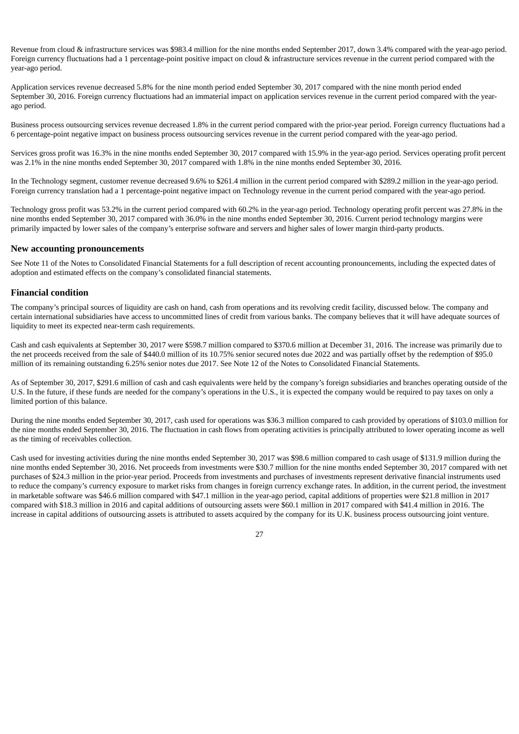Revenue from cloud & infrastructure services was \$983.4 million for the nine months ended September 2017, down 3.4% compared with the year-ago period. Foreign currency fluctuations had a 1 percentage-point positive impact on cloud & infrastructure services revenue in the current period compared with the year-ago period.

Application services revenue decreased 5.8% for the nine month period ended September 30, 2017 compared with the nine month period ended September 30, 2016. Foreign currency fluctuations had an immaterial impact on application services revenue in the current period compared with the yearago period.

Business process outsourcing services revenue decreased 1.8% in the current period compared with the prior-year period. Foreign currency fluctuations had a 6 percentage-point negative impact on business process outsourcing services revenue in the current period compared with the year-ago period.

Services gross profit was 16.3% in the nine months ended September 30, 2017 compared with 15.9% in the year-ago period. Services operating profit percent was 2.1% in the nine months ended September 30, 2017 compared with 1.8% in the nine months ended September 30, 2016.

In the Technology segment, customer revenue decreased 9.6% to \$261.4 million in the current period compared with \$289.2 million in the year-ago period. Foreign currency translation had a 1 percentage-point negative impact on Technology revenue in the current period compared with the year-ago period.

Technology gross profit was 53.2% in the current period compared with 60.2% in the year-ago period. Technology operating profit percent was 27.8% in the nine months ended September 30, 2017 compared with 36.0% in the nine months ended September 30, 2016. Current period technology margins were primarily impacted by lower sales of the company's enterprise software and servers and higher sales of lower margin third-party products.

### **New accounting pronouncements**

See Note 11 of the Notes to Consolidated Financial Statements for a full description of recent accounting pronouncements, including the expected dates of adoption and estimated effects on the company's consolidated financial statements.

### **Financial condition**

The company's principal sources of liquidity are cash on hand, cash from operations and its revolving credit facility, discussed below. The company and certain international subsidiaries have access to uncommitted lines of credit from various banks. The company believes that it will have adequate sources of liquidity to meet its expected near-term cash requirements.

Cash and cash equivalents at September 30, 2017 were \$598.7 million compared to \$370.6 million at December 31, 2016. The increase was primarily due to the net proceeds received from the sale of \$440.0 million of its 10.75% senior secured notes due 2022 and was partially offset by the redemption of \$95.0 million of its remaining outstanding 6.25% senior notes due 2017. See Note 12 of the Notes to Consolidated Financial Statements.

As of September 30, 2017, \$291.6 million of cash and cash equivalents were held by the company's foreign subsidiaries and branches operating outside of the U.S. In the future, if these funds are needed for the company's operations in the U.S., it is expected the company would be required to pay taxes on only a limited portion of this balance.

During the nine months ended September 30, 2017, cash used for operations was \$36.3 million compared to cash provided by operations of \$103.0 million for the nine months ended September 30, 2016. The fluctuation in cash flows from operating activities is principally attributed to lower operating income as well as the timing of receivables collection.

Cash used for investing activities during the nine months ended September 30, 2017 was \$98.6 million compared to cash usage of \$131.9 million during the nine months ended September 30, 2016. Net proceeds from investments were \$30.7 million for the nine months ended September 30, 2017 compared with net purchases of \$24.3 million in the prior-year period. Proceeds from investments and purchases of investments represent derivative financial instruments used to reduce the company's currency exposure to market risks from changes in foreign currency exchange rates. In addition, in the current period, the investment in marketable software was \$46.6 million compared with \$47.1 million in the year-ago period, capital additions of properties were \$21.8 million in 2017 compared with \$18.3 million in 2016 and capital additions of outsourcing assets were \$60.1 million in 2017 compared with \$41.4 million in 2016. The increase in capital additions of outsourcing assets is attributed to assets acquired by the company for its U.K. business process outsourcing joint venture.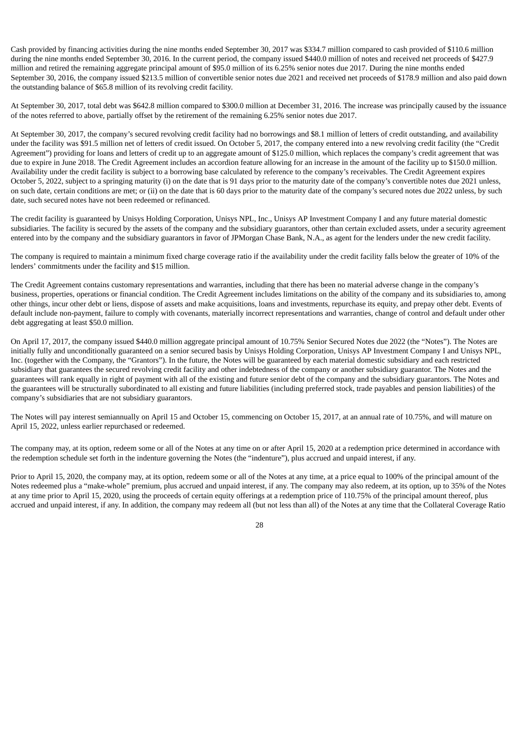Cash provided by financing activities during the nine months ended September 30, 2017 was \$334.7 million compared to cash provided of \$110.6 million during the nine months ended September 30, 2016. In the current period, the company issued \$440.0 million of notes and received net proceeds of \$427.9 million and retired the remaining aggregate principal amount of \$95.0 million of its 6.25% senior notes due 2017. During the nine months ended September 30, 2016, the company issued \$213.5 million of convertible senior notes due 2021 and received net proceeds of \$178.9 million and also paid down the outstanding balance of \$65.8 million of its revolving credit facility.

At September 30, 2017, total debt was \$642.8 million compared to \$300.0 million at December 31, 2016. The increase was principally caused by the issuance of the notes referred to above, partially offset by the retirement of the remaining 6.25% senior notes due 2017.

At September 30, 2017, the company's secured revolving credit facility had no borrowings and \$8.1 million of letters of credit outstanding, and availability under the facility was \$91.5 million net of letters of credit issued. On October 5, 2017, the company entered into a new revolving credit facility (the "Credit Agreement") providing for loans and letters of credit up to an aggregate amount of \$125.0 million, which replaces the company's credit agreement that was due to expire in June 2018. The Credit Agreement includes an accordion feature allowing for an increase in the amount of the facility up to \$150.0 million. Availability under the credit facility is subject to a borrowing base calculated by reference to the company's receivables. The Credit Agreement expires October 5, 2022, subject to a springing maturity (i) on the date that is 91 days prior to the maturity date of the company's convertible notes due 2021 unless, on such date, certain conditions are met; or (ii) on the date that is 60 days prior to the maturity date of the company's secured notes due 2022 unless, by such date, such secured notes have not been redeemed or refinanced.

The credit facility is guaranteed by Unisys Holding Corporation, Unisys NPL, Inc., Unisys AP Investment Company I and any future material domestic subsidiaries. The facility is secured by the assets of the company and the subsidiary guarantors, other than certain excluded assets, under a security agreement entered into by the company and the subsidiary guarantors in favor of JPMorgan Chase Bank, N.A., as agent for the lenders under the new credit facility.

The company is required to maintain a minimum fixed charge coverage ratio if the availability under the credit facility falls below the greater of 10% of the lenders' commitments under the facility and \$15 million.

The Credit Agreement contains customary representations and warranties, including that there has been no material adverse change in the company's business, properties, operations or financial condition. The Credit Agreement includes limitations on the ability of the company and its subsidiaries to, among other things, incur other debt or liens, dispose of assets and make acquisitions, loans and investments, repurchase its equity, and prepay other debt. Events of default include non-payment, failure to comply with covenants, materially incorrect representations and warranties, change of control and default under other debt aggregating at least \$50.0 million.

On April 17, 2017, the company issued \$440.0 million aggregate principal amount of 10.75% Senior Secured Notes due 2022 (the "Notes"). The Notes are initially fully and unconditionally guaranteed on a senior secured basis by Unisys Holding Corporation, Unisys AP Investment Company I and Unisys NPL, Inc. (together with the Company, the "Grantors"). In the future, the Notes will be guaranteed by each material domestic subsidiary and each restricted subsidiary that guarantees the secured revolving credit facility and other indebtedness of the company or another subsidiary guarantor. The Notes and the guarantees will rank equally in right of payment with all of the existing and future senior debt of the company and the subsidiary guarantors. The Notes and the guarantees will be structurally subordinated to all existing and future liabilities (including preferred stock, trade payables and pension liabilities) of the company's subsidiaries that are not subsidiary guarantors.

The Notes will pay interest semiannually on April 15 and October 15, commencing on October 15, 2017, at an annual rate of 10.75%, and will mature on April 15, 2022, unless earlier repurchased or redeemed.

The company may, at its option, redeem some or all of the Notes at any time on or after April 15, 2020 at a redemption price determined in accordance with the redemption schedule set forth in the indenture governing the Notes (the "indenture"), plus accrued and unpaid interest, if any.

Prior to April 15, 2020, the company may, at its option, redeem some or all of the Notes at any time, at a price equal to 100% of the principal amount of the Notes redeemed plus a "make-whole" premium, plus accrued and unpaid interest, if any. The company may also redeem, at its option, up to 35% of the Notes at any time prior to April 15, 2020, using the proceeds of certain equity offerings at a redemption price of 110.75% of the principal amount thereof, plus accrued and unpaid interest, if any. In addition, the company may redeem all (but not less than all) of the Notes at any time that the Collateral Coverage Ratio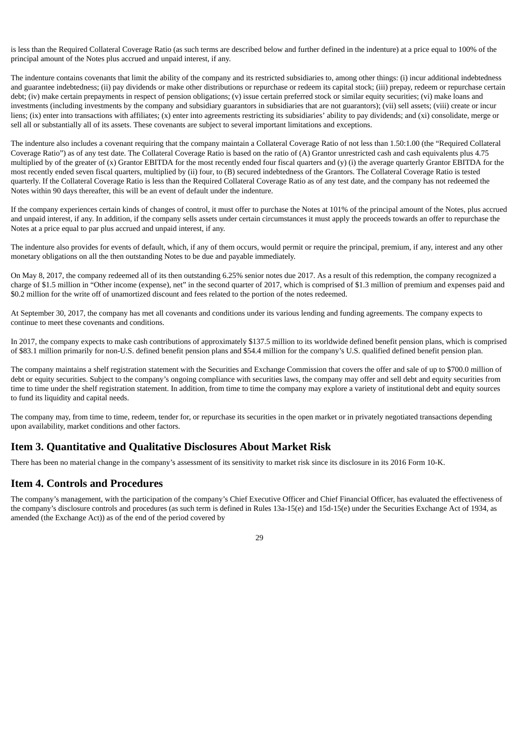is less than the Required Collateral Coverage Ratio (as such terms are described below and further defined in the indenture) at a price equal to 100% of the principal amount of the Notes plus accrued and unpaid interest, if any.

The indenture contains covenants that limit the ability of the company and its restricted subsidiaries to, among other things: (i) incur additional indebtedness and guarantee indebtedness; (ii) pay dividends or make other distributions or repurchase or redeem its capital stock; (iii) prepay, redeem or repurchase certain debt; (iv) make certain prepayments in respect of pension obligations; (v) issue certain preferred stock or similar equity securities; (vi) make loans and investments (including investments by the company and subsidiary guarantors in subsidiaries that are not guarantors); (vii) sell assets; (viii) create or incur liens; (ix) enter into transactions with affiliates; (x) enter into agreements restricting its subsidiaries' ability to pay dividends; and (xi) consolidate, merge or sell all or substantially all of its assets. These covenants are subject to several important limitations and exceptions.

The indenture also includes a covenant requiring that the company maintain a Collateral Coverage Ratio of not less than 1.50:1.00 (the "Required Collateral Coverage Ratio") as of any test date. The Collateral Coverage Ratio is based on the ratio of (A) Grantor unrestricted cash and cash equivalents plus 4.75 multiplied by of the greater of (x) Grantor EBITDA for the most recently ended four fiscal quarters and (y) (i) the average quarterly Grantor EBITDA for the most recently ended seven fiscal quarters, multiplied by (ii) four, to (B) secured indebtedness of the Grantors. The Collateral Coverage Ratio is tested quarterly. If the Collateral Coverage Ratio is less than the Required Collateral Coverage Ratio as of any test date, and the company has not redeemed the Notes within 90 days thereafter, this will be an event of default under the indenture.

If the company experiences certain kinds of changes of control, it must offer to purchase the Notes at 101% of the principal amount of the Notes, plus accrued and unpaid interest, if any. In addition, if the company sells assets under certain circumstances it must apply the proceeds towards an offer to repurchase the Notes at a price equal to par plus accrued and unpaid interest, if any.

The indenture also provides for events of default, which, if any of them occurs, would permit or require the principal, premium, if any, interest and any other monetary obligations on all the then outstanding Notes to be due and payable immediately.

On May 8, 2017, the company redeemed all of its then outstanding 6.25% senior notes due 2017. As a result of this redemption, the company recognized a charge of \$1.5 million in "Other income (expense), net" in the second quarter of 2017, which is comprised of \$1.3 million of premium and expenses paid and \$0.2 million for the write off of unamortized discount and fees related to the portion of the notes redeemed.

At September 30, 2017, the company has met all covenants and conditions under its various lending and funding agreements. The company expects to continue to meet these covenants and conditions.

In 2017, the company expects to make cash contributions of approximately \$137.5 million to its worldwide defined benefit pension plans, which is comprised of \$83.1 million primarily for non-U.S. defined benefit pension plans and \$54.4 million for the company's U.S. qualified defined benefit pension plan.

The company maintains a shelf registration statement with the Securities and Exchange Commission that covers the offer and sale of up to \$700.0 million of debt or equity securities. Subject to the company's ongoing compliance with securities laws, the company may offer and sell debt and equity securities from time to time under the shelf registration statement. In addition, from time to time the company may explore a variety of institutional debt and equity sources to fund its liquidity and capital needs.

The company may, from time to time, redeem, tender for, or repurchase its securities in the open market or in privately negotiated transactions depending upon availability, market conditions and other factors.

# <span id="page-29-0"></span>**Item 3. Quantitative and Qualitative Disclosures About Market Risk**

<span id="page-29-1"></span>There has been no material change in the company's assessment of its sensitivity to market risk since its disclosure in its 2016 Form 10-K.

# **Item 4. Controls and Procedures**

The company's management, with the participation of the company's Chief Executive Officer and Chief Financial Officer, has evaluated the effectiveness of the company's disclosure controls and procedures (as such term is defined in Rules 13a-15(e) and 15d-15(e) under the Securities Exchange Act of 1934, as amended (the Exchange Act)) as of the end of the period covered by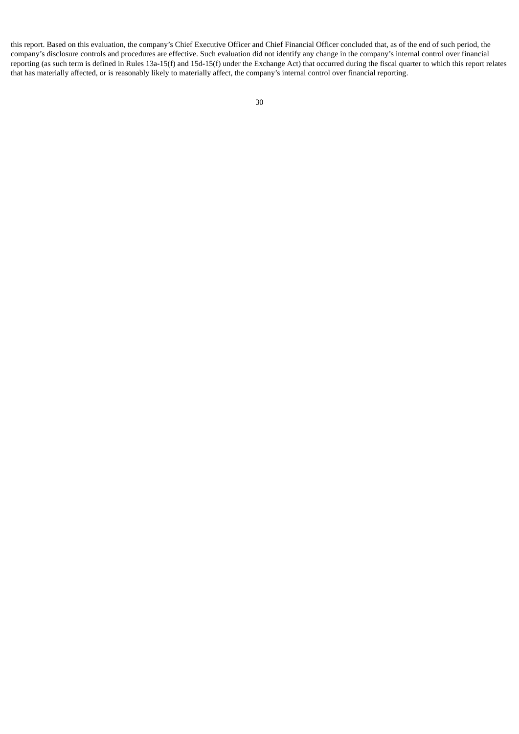this report. Based on this evaluation, the company's Chief Executive Officer and Chief Financial Officer concluded that, as of the end of such period, the company's disclosure controls and procedures are effective. Such evaluation did not identify any change in the company's internal control over financial reporting (as such term is defined in Rules 13a-15(f) and 15d-15(f) under the Exchange Act) that occurred during the fiscal quarter to which this report relates that has materially affected, or is reasonably likely to materially affect, the company's internal control over financial reporting.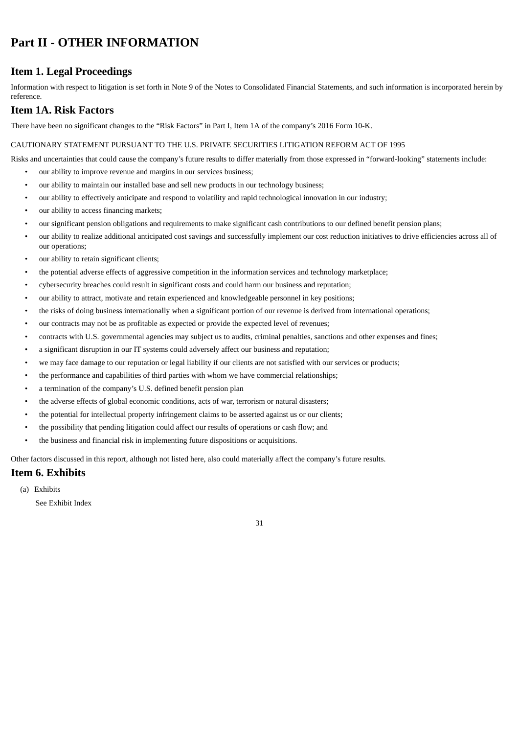# **Part II - OTHER INFORMATION**

# <span id="page-31-0"></span>**Item 1. Legal Proceedings**

Information with respect to litigation is set forth in Note 9 of the Notes to Consolidated Financial Statements, and such information is incorporated herein by reference.

# <span id="page-31-1"></span>**Item 1A. Risk Factors**

There have been no significant changes to the "Risk Factors" in Part I, Item 1A of the company's 2016 Form 10-K.

## CAUTIONARY STATEMENT PURSUANT TO THE U.S. PRIVATE SECURITIES LITIGATION REFORM ACT OF 1995

Risks and uncertainties that could cause the company's future results to differ materially from those expressed in "forward-looking" statements include:

- our ability to improve revenue and margins in our services business;
- our ability to maintain our installed base and sell new products in our technology business;
- our ability to effectively anticipate and respond to volatility and rapid technological innovation in our industry;
- our ability to access financing markets:
- our significant pension obligations and requirements to make significant cash contributions to our defined benefit pension plans;
- our ability to realize additional anticipated cost savings and successfully implement our cost reduction initiatives to drive efficiencies across all of our operations;
- our ability to retain significant clients;
- the potential adverse effects of aggressive competition in the information services and technology marketplace;
- cybersecurity breaches could result in significant costs and could harm our business and reputation;
- our ability to attract, motivate and retain experienced and knowledgeable personnel in key positions;
- the risks of doing business internationally when a significant portion of our revenue is derived from international operations;
- our contracts may not be as profitable as expected or provide the expected level of revenues;
- contracts with U.S. governmental agencies may subject us to audits, criminal penalties, sanctions and other expenses and fines;
- a significant disruption in our IT systems could adversely affect our business and reputation;
- we may face damage to our reputation or legal liability if our clients are not satisfied with our services or products;
- the performance and capabilities of third parties with whom we have commercial relationships;
- a termination of the company's U.S. defined benefit pension plan
- the adverse effects of global economic conditions, acts of war, terrorism or natural disasters;
- the potential for intellectual property infringement claims to be asserted against us or our clients;
- the possibility that pending litigation could affect our results of operations or cash flow; and
- the business and financial risk in implementing future dispositions or acquisitions.

Other factors discussed in this report, although not listed here, also could materially affect the company's future results.

# <span id="page-31-2"></span>**Item 6. Exhibits**

(a) Exhibits

See Exhibit Index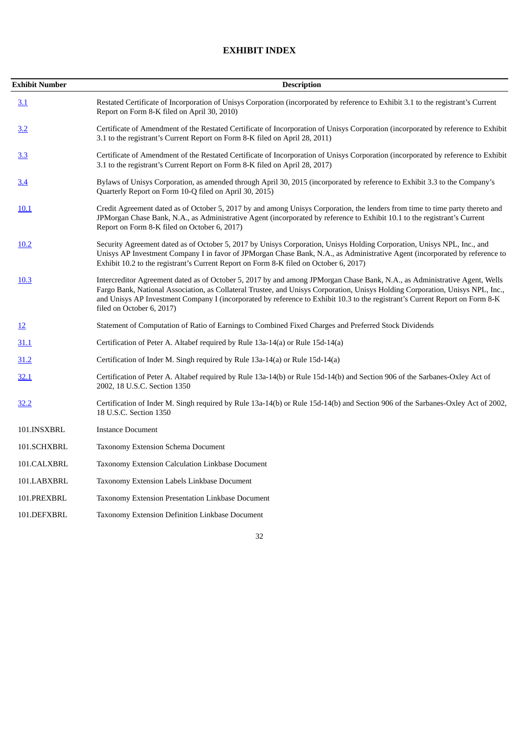# **EXHIBIT INDEX**

<span id="page-32-0"></span>

| <b>Exhibit Number</b> | <b>Description</b>                                                                                                                                                                                                                                                                                                                                                                                                        |
|-----------------------|---------------------------------------------------------------------------------------------------------------------------------------------------------------------------------------------------------------------------------------------------------------------------------------------------------------------------------------------------------------------------------------------------------------------------|
| <u>3.1</u>            | Restated Certificate of Incorporation of Unisys Corporation (incorporated by reference to Exhibit 3.1 to the registrant's Current<br>Report on Form 8-K filed on April 30, 2010)                                                                                                                                                                                                                                          |
| 3.2                   | Certificate of Amendment of the Restated Certificate of Incorporation of Unisys Corporation (incorporated by reference to Exhibit<br>3.1 to the registrant's Current Report on Form 8-K filed on April 28, 2011)                                                                                                                                                                                                          |
| <u>3.3</u>            | Certificate of Amendment of the Restated Certificate of Incorporation of Unisys Corporation (incorporated by reference to Exhibit<br>3.1 to the registrant's Current Report on Form 8-K filed on April 28, 2017)                                                                                                                                                                                                          |
| <u>3.4</u>            | Bylaws of Unisys Corporation, as amended through April 30, 2015 (incorporated by reference to Exhibit 3.3 to the Company's<br>Quarterly Report on Form 10-Q filed on April 30, 2015)                                                                                                                                                                                                                                      |
| <u>10.1</u>           | Credit Agreement dated as of October 5, 2017 by and among Unisys Corporation, the lenders from time to time party thereto and<br>JPMorgan Chase Bank, N.A., as Administrative Agent (incorporated by reference to Exhibit 10.1 to the registrant's Current<br>Report on Form 8-K filed on October 6, 2017)                                                                                                                |
| <u>10.2</u>           | Security Agreement dated as of October 5, 2017 by Unisys Corporation, Unisys Holding Corporation, Unisys NPL, Inc., and<br>Unisys AP Investment Company I in favor of JPMorgan Chase Bank, N.A., as Administrative Agent (incorporated by reference to<br>Exhibit 10.2 to the registrant's Current Report on Form 8-K filed on October 6, 2017)                                                                           |
| 10.3                  | Intercreditor Agreement dated as of October 5, 2017 by and among JPMorgan Chase Bank, N.A., as Administrative Agent, Wells<br>Fargo Bank, National Association, as Collateral Trustee, and Unisys Corporation, Unisys Holding Corporation, Unisys NPL, Inc.,<br>and Unisys AP Investment Company I (incorporated by reference to Exhibit 10.3 to the registrant's Current Report on Form 8-K<br>filed on October 6, 2017) |
| 12                    | Statement of Computation of Ratio of Earnings to Combined Fixed Charges and Preferred Stock Dividends                                                                                                                                                                                                                                                                                                                     |
| 31.1                  | Certification of Peter A. Altabef required by Rule 13a-14(a) or Rule 15d-14(a)                                                                                                                                                                                                                                                                                                                                            |
| 31.2                  | Certification of Inder M. Singh required by Rule 13a-14(a) or Rule 15d-14(a)                                                                                                                                                                                                                                                                                                                                              |
| 32.1                  | Certification of Peter A. Altabef required by Rule 13a-14(b) or Rule 15d-14(b) and Section 906 of the Sarbanes-Oxley Act of<br>2002, 18 U.S.C. Section 1350                                                                                                                                                                                                                                                               |
| 32.2                  | Certification of Inder M. Singh required by Rule 13a-14(b) or Rule 15d-14(b) and Section 906 of the Sarbanes-Oxley Act of 2002,<br>18 U.S.C. Section 1350                                                                                                                                                                                                                                                                 |
| 101.INSXBRL           | <b>Instance Document</b>                                                                                                                                                                                                                                                                                                                                                                                                  |
| 101.SCHXBRL           | <b>Taxonomy Extension Schema Document</b>                                                                                                                                                                                                                                                                                                                                                                                 |
| 101.CALXBRL           | Taxonomy Extension Calculation Linkbase Document                                                                                                                                                                                                                                                                                                                                                                          |
| 101.LABXBRL           | Taxonomy Extension Labels Linkbase Document                                                                                                                                                                                                                                                                                                                                                                               |
| 101.PREXBRL           | Taxonomy Extension Presentation Linkbase Document                                                                                                                                                                                                                                                                                                                                                                         |
| 101.DEFXBRL           | Taxonomy Extension Definition Linkbase Document                                                                                                                                                                                                                                                                                                                                                                           |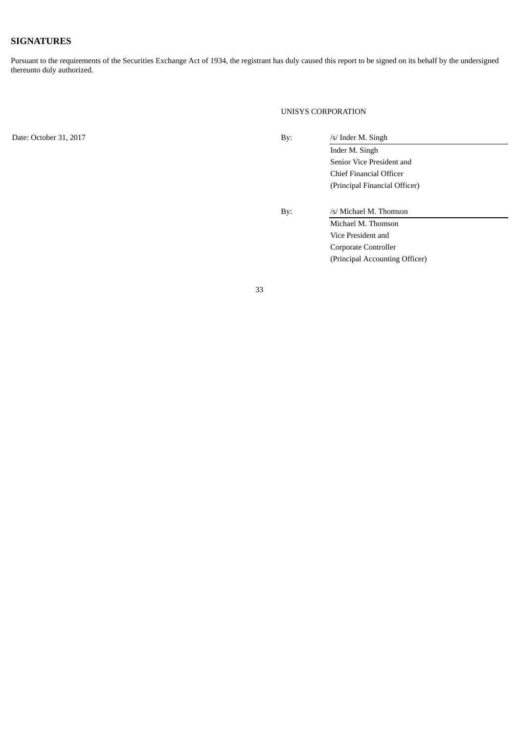# <span id="page-33-0"></span>**SIGNATURES**

Date: October 31, 2017

Pursuant to the requirements of the Securities Exchange Act of 1934, the registrant has duly caused this report to be signed on its behalf by the undersigned thereunto duly authorized.

UNISYS CORPORATION

| By: | /s/ Inder M. Singh             |  |  |  |  |  |  |  |  |  |
|-----|--------------------------------|--|--|--|--|--|--|--|--|--|
|     | Inder M. Singh                 |  |  |  |  |  |  |  |  |  |
|     | Senior Vice President and      |  |  |  |  |  |  |  |  |  |
|     | Chief Financial Officer        |  |  |  |  |  |  |  |  |  |
|     | (Principal Financial Officer)  |  |  |  |  |  |  |  |  |  |
|     |                                |  |  |  |  |  |  |  |  |  |
| By: | /s/ Michael M. Thomson         |  |  |  |  |  |  |  |  |  |
|     | Michael M. Thomson             |  |  |  |  |  |  |  |  |  |
|     | Vice President and             |  |  |  |  |  |  |  |  |  |
|     | Corporate Controller           |  |  |  |  |  |  |  |  |  |
|     | (Principal Accounting Officer) |  |  |  |  |  |  |  |  |  |
|     |                                |  |  |  |  |  |  |  |  |  |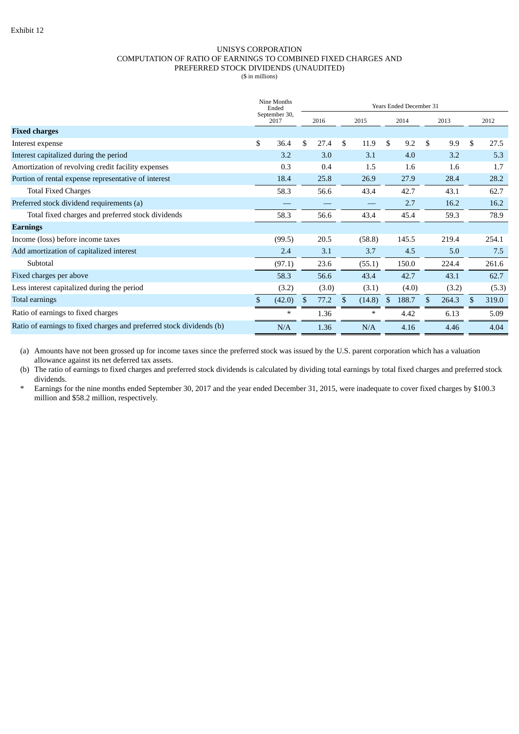#### UNISYS CORPORATION COMPUTATION OF RATIO OF EARNINGS TO COMBINED FIXED CHARGES AND PREFERRED STOCK DIVIDENDS (UNAUDITED) (\$ in millions)

<span id="page-34-0"></span>

|                                                                      | Nine Months<br>Ended<br>September 30,<br>2017 |        | Years Ended December 31 |       |      |        |      |       |      |       |               |       |
|----------------------------------------------------------------------|-----------------------------------------------|--------|-------------------------|-------|------|--------|------|-------|------|-------|---------------|-------|
|                                                                      |                                               |        | 2016                    |       | 2015 |        | 2014 |       | 2013 |       | 2012          |       |
| <b>Fixed charges</b>                                                 |                                               |        |                         |       |      |        |      |       |      |       |               |       |
| Interest expense                                                     | \$                                            | 36.4   | \$                      | 27.4  | \$   | 11.9   | \$   | 9.2   | \$   | 9.9   | \$            | 27.5  |
| Interest capitalized during the period                               |                                               | 3.2    |                         | 3.0   |      | 3.1    |      | 4.0   |      | 3.2   |               | 5.3   |
| Amortization of revolving credit facility expenses                   |                                               | 0.3    |                         | 0.4   |      | 1.5    |      | 1.6   |      | 1.6   |               | 1.7   |
| Portion of rental expense representative of interest                 |                                               | 18.4   |                         | 25.8  |      | 26.9   |      | 27.9  |      | 28.4  |               | 28.2  |
| <b>Total Fixed Charges</b>                                           |                                               | 58.3   |                         | 56.6  |      | 43.4   |      | 42.7  |      | 43.1  |               | 62.7  |
| Preferred stock dividend requirements (a)                            |                                               |        |                         |       |      |        |      | 2.7   |      | 16.2  |               | 16.2  |
| Total fixed charges and preferred stock dividends                    |                                               | 58.3   |                         | 56.6  |      | 43.4   |      | 45.4  |      | 59.3  |               | 78.9  |
| <b>Earnings</b>                                                      |                                               |        |                         |       |      |        |      |       |      |       |               |       |
| Income (loss) before income taxes                                    |                                               | (99.5) |                         | 20.5  |      | (58.8) |      | 145.5 |      | 219.4 |               | 254.1 |
| Add amortization of capitalized interest                             |                                               | 2.4    |                         | 3.1   |      | 3.7    |      | 4.5   |      | 5.0   |               | 7.5   |
| Subtotal                                                             |                                               | (97.1) |                         | 23.6  |      | (55.1) |      | 150.0 |      | 224.4 |               | 261.6 |
| Fixed charges per above                                              |                                               | 58.3   |                         | 56.6  |      | 43.4   |      | 42.7  |      | 43.1  |               | 62.7  |
| Less interest capitalized during the period                          |                                               | (3.2)  |                         | (3.0) |      | (3.1)  |      | (4.0) |      | (3.2) |               | (5.3) |
| Total earnings                                                       |                                               | (42.0) | <sup>\$</sup>           | 77.2  | \$.  | (14.8) | -S   | 188.7 | -S   | 264.3 | <sup>\$</sup> | 319.0 |
| Ratio of earnings to fixed charges                                   |                                               | $\ast$ |                         | 1.36  |      | $\ast$ |      | 4.42  |      | 6.13  |               | 5.09  |
| Ratio of earnings to fixed charges and preferred stock dividends (b) |                                               | N/A    |                         | 1.36  |      | N/A    |      | 4.16  |      | 4.46  |               | 4.04  |

(a) Amounts have not been grossed up for income taxes since the preferred stock was issued by the U.S. parent corporation which has a valuation allowance against its net deferred tax assets.

(b) The ratio of earnings to fixed charges and preferred stock dividends is calculated by dividing total earnings by total fixed charges and preferred stock dividends.

\* Earnings for the nine months ended September 30, 2017 and the year ended December 31, 2015, were inadequate to cover fixed charges by \$100.3 million and \$58.2 million, respectively.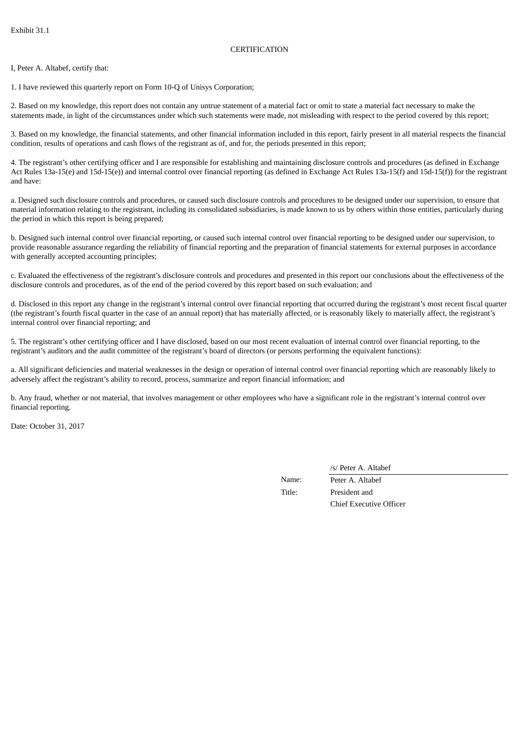### **CERTIFICATION**

#### <span id="page-35-0"></span>I, Peter A. Altabef, certify that:

1. I have reviewed this quarterly report on Form 10-Q of Unisys Corporation;

2. Based on my knowledge, this report does not contain any untrue statement of a material fact or omit to state a material fact necessary to make the statements made, in light of the circumstances under which such statements were made, not misleading with respect to the period covered by this report;

3. Based on my knowledge, the financial statements, and other financial information included in this report, fairly present in all material respects the financial condition, results of operations and cash flows of the registrant as of, and for, the periods presented in this report;

4. The registrant's other certifying officer and I are responsible for establishing and maintaining disclosure controls and procedures (as defined in Exchange Act Rules 13a-15(e) and 15d-15(e)) and internal control over financial reporting (as defined in Exchange Act Rules 13a-15(f) and 15d-15(f)) for the registrant and have:

a. Designed such disclosure controls and procedures, or caused such disclosure controls and procedures to be designed under our supervision, to ensure that material information relating to the registrant, including its consolidated subsidiaries, is made known to us by others within those entities, particularly during the period in which this report is being prepared;

b. Designed such internal control over financial reporting, or caused such internal control over financial reporting to be designed under our supervision, to provide reasonable assurance regarding the reliability of financial reporting and the preparation of financial statements for external purposes in accordance with generally accepted accounting principles;

c. Evaluated the effectiveness of the registrant's disclosure controls and procedures and presented in this report our conclusions about the effectiveness of the disclosure controls and procedures, as of the end of the period covered by this report based on such evaluation; and

d. Disclosed in this report any change in the registrant's internal control over financial reporting that occurred during the registrant's most recent fiscal quarter (the registrant's fourth fiscal quarter in the case of an annual report) that has materially affected, or is reasonably likely to materially affect, the registrant's internal control over financial reporting; and

5. The registrant's other certifying officer and I have disclosed, based on our most recent evaluation of internal control over financial reporting, to the registrant's auditors and the audit committee of the registrant's board of directors (or persons performing the equivalent functions):

a. All significant deficiencies and material weaknesses in the design or operation of internal control over financial reporting which are reasonably likely to adversely affect the registrant's ability to record, process, summarize and report financial information; and

b. Any fraud, whether or not material, that involves management or other employees who have a significant role in the registrant's internal control over financial reporting.

Date: October 31, 2017

Name: Peter A. Altabef

/s/ Peter A. Altabef

Title: President and Chief Executive Officer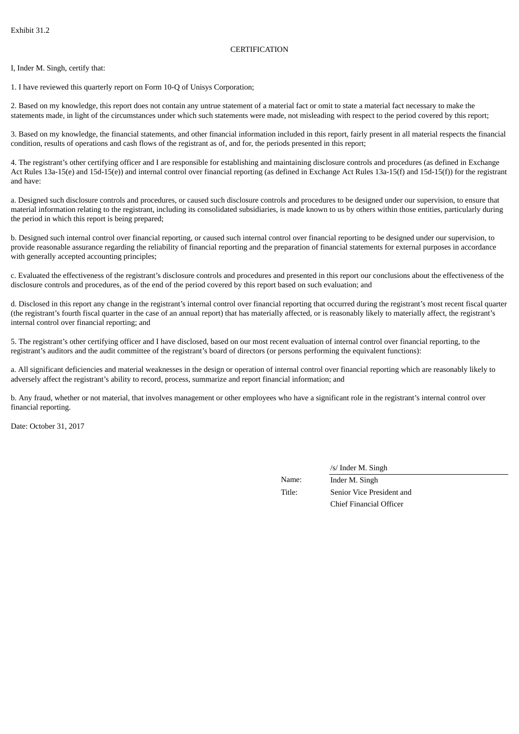### **CERTIFICATION**

#### <span id="page-36-0"></span>I, Inder M. Singh, certify that:

1. I have reviewed this quarterly report on Form 10-Q of Unisys Corporation;

2. Based on my knowledge, this report does not contain any untrue statement of a material fact or omit to state a material fact necessary to make the statements made, in light of the circumstances under which such statements were made, not misleading with respect to the period covered by this report;

3. Based on my knowledge, the financial statements, and other financial information included in this report, fairly present in all material respects the financial condition, results of operations and cash flows of the registrant as of, and for, the periods presented in this report;

4. The registrant's other certifying officer and I are responsible for establishing and maintaining disclosure controls and procedures (as defined in Exchange Act Rules 13a-15(e) and 15d-15(e)) and internal control over financial reporting (as defined in Exchange Act Rules 13a-15(f) and 15d-15(f)) for the registrant and have:

a. Designed such disclosure controls and procedures, or caused such disclosure controls and procedures to be designed under our supervision, to ensure that material information relating to the registrant, including its consolidated subsidiaries, is made known to us by others within those entities, particularly during the period in which this report is being prepared;

b. Designed such internal control over financial reporting, or caused such internal control over financial reporting to be designed under our supervision, to provide reasonable assurance regarding the reliability of financial reporting and the preparation of financial statements for external purposes in accordance with generally accepted accounting principles;

c. Evaluated the effectiveness of the registrant's disclosure controls and procedures and presented in this report our conclusions about the effectiveness of the disclosure controls and procedures, as of the end of the period covered by this report based on such evaluation; and

d. Disclosed in this report any change in the registrant's internal control over financial reporting that occurred during the registrant's most recent fiscal quarter (the registrant's fourth fiscal quarter in the case of an annual report) that has materially affected, or is reasonably likely to materially affect, the registrant's internal control over financial reporting; and

5. The registrant's other certifying officer and I have disclosed, based on our most recent evaluation of internal control over financial reporting, to the registrant's auditors and the audit committee of the registrant's board of directors (or persons performing the equivalent functions):

a. All significant deficiencies and material weaknesses in the design or operation of internal control over financial reporting which are reasonably likely to adversely affect the registrant's ability to record, process, summarize and report financial information; and

b. Any fraud, whether or not material, that involves management or other employees who have a significant role in the registrant's internal control over financial reporting.

Date: October 31, 2017

/s/ Inder M. Singh Name: Inder M. Singh Title: Senior Vice President and Chief Financial Officer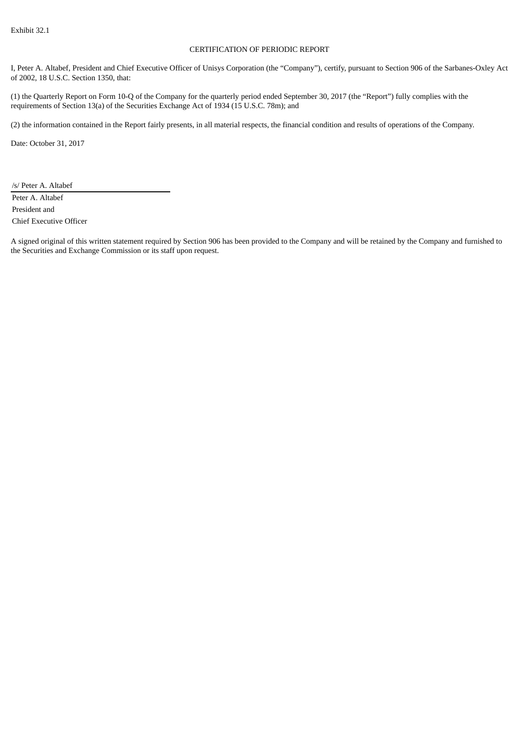# CERTIFICATION OF PERIODIC REPORT

<span id="page-37-0"></span>I, Peter A. Altabef, President and Chief Executive Officer of Unisys Corporation (the "Company"), certify, pursuant to Section 906 of the Sarbanes-Oxley Act of 2002, 18 U.S.C. Section 1350, that:

(1) the Quarterly Report on Form 10-Q of the Company for the quarterly period ended September 30, 2017 (the "Report") fully complies with the requirements of Section 13(a) of the Securities Exchange Act of 1934 (15 U.S.C. 78m); and

(2) the information contained in the Report fairly presents, in all material respects, the financial condition and results of operations of the Company.

Date: October 31, 2017

/s/ Peter A. Altabef

Peter A. Altabef President and Chief Executive Officer

A signed original of this written statement required by Section 906 has been provided to the Company and will be retained by the Company and furnished to the Securities and Exchange Commission or its staff upon request.